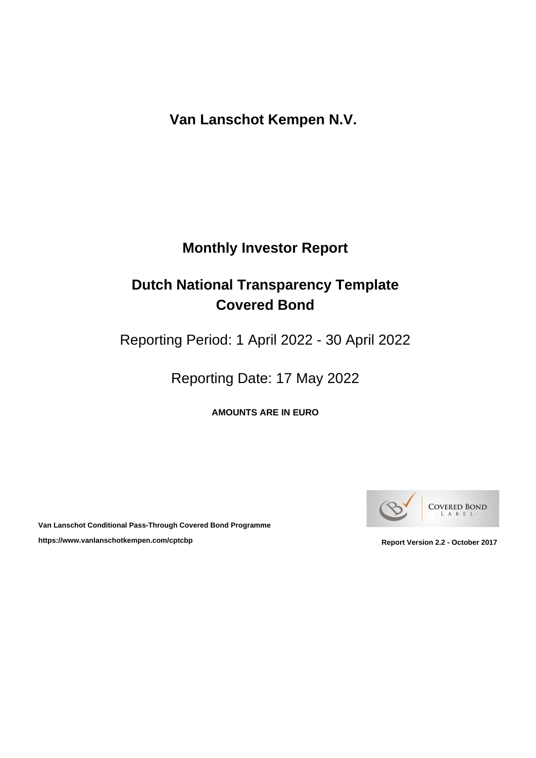# **Monthly Investor Report**

# **Dutch National Transparency Template Covered Bond**

Reporting Period: 1 April 2022 - 30 April 2022

Reporting Date: 17 May 2022

**AMOUNTS ARE IN EURO**



**Van Lanschot Conditional Pass-Through Covered Bond Programme** https://www.vanlanschotkempen.com/cptcbp<br>
Report Version 2.2 - October 2017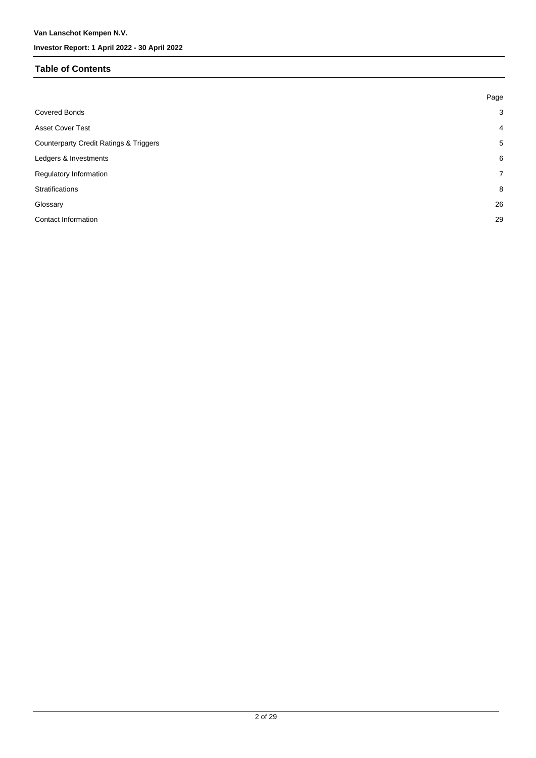#### **Table of Contents**

| Page           |
|----------------|
| $\mathbf{3}$   |
| $\overline{4}$ |
| 5              |
| 6              |
| $\overline{7}$ |
| 8              |
| 26             |
| 29             |
|                |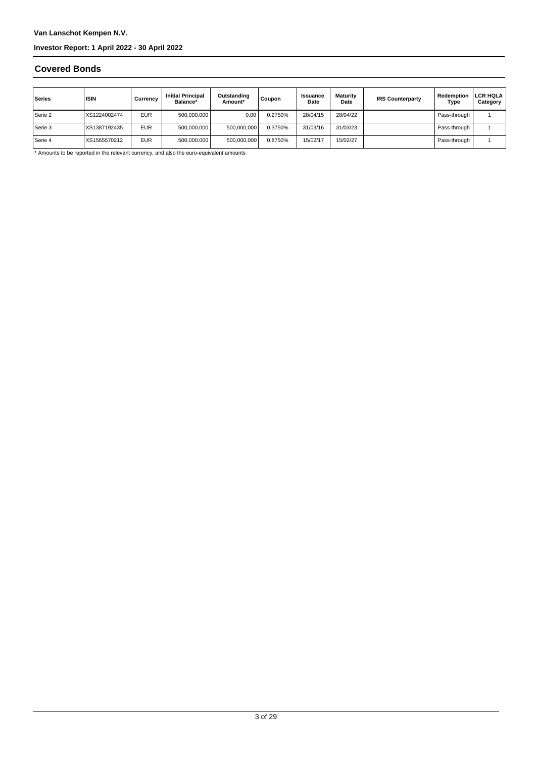#### **Covered Bonds**

| Series    | <b>ISIN</b>  | Currencv   | <b>Initial Principal</b><br>Balance* | Outstanding<br>Amount* | Coupon  | <b>Issuance</b><br>Date | Maturity<br>Date | <b>IRS Counterparty</b> | Redemption<br>Type | <b>LCR HQLA</b><br>Category |
|-----------|--------------|------------|--------------------------------------|------------------------|---------|-------------------------|------------------|-------------------------|--------------------|-----------------------------|
| Serie 2   | XS1224002474 | <b>EUR</b> | 500,000,000                          | 0.00                   | 0.2750% | 28/04/15                | 28/04/22         |                         | Pass-through       |                             |
| l Serie 3 | XS1387192435 | <b>EUR</b> | 500,000,000                          | 500,000,000            | 0.3750% | 31/03/16                | 31/03/23         |                         | Pass-through       |                             |
| Serie 4   | XS1565570212 | <b>EUR</b> | 500,000,000                          | 500,000,000            | 0.8750% | 15/02/17                | 15/02/27         |                         | Pass-through       |                             |

\* Amounts to be reported in the relevant currency, and also the euro-equivalent amounts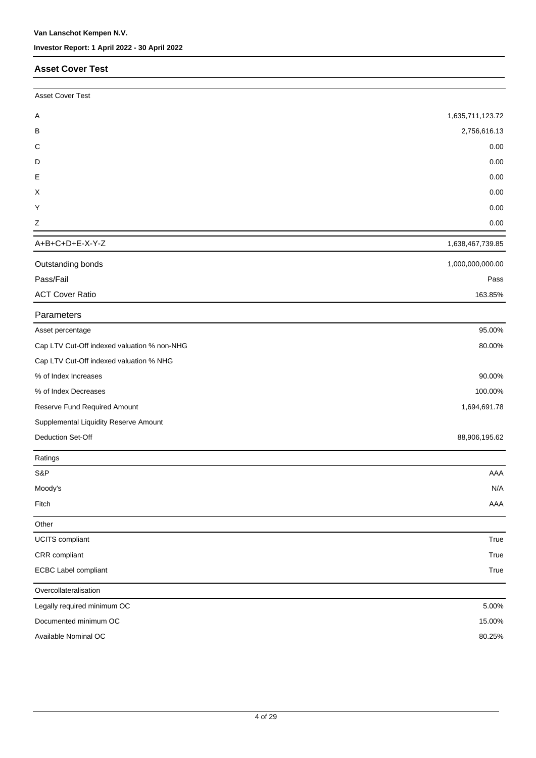#### **Asset Cover Test**

| <b>Asset Cover Test</b>                     |                  |
|---------------------------------------------|------------------|
| Α                                           | 1,635,711,123.72 |
| B                                           | 2,756,616.13     |
| C                                           | 0.00             |
| D                                           | 0.00             |
| Е                                           | 0.00             |
| X                                           | 0.00             |
| Y                                           | 0.00             |
| Ζ                                           | 0.00             |
| A+B+C+D+E-X-Y-Z                             | 1,638,467,739.85 |
| Outstanding bonds                           | 1,000,000,000.00 |
| Pass/Fail                                   | Pass             |
| <b>ACT Cover Ratio</b>                      | 163.85%          |
| Parameters                                  |                  |
| Asset percentage                            | 95.00%           |
| Cap LTV Cut-Off indexed valuation % non-NHG | 80.00%           |
| Cap LTV Cut-Off indexed valuation % NHG     |                  |
| % of Index Increases                        | 90.00%           |
| % of Index Decreases                        | 100.00%          |
| Reserve Fund Required Amount                | 1,694,691.78     |
| Supplemental Liquidity Reserve Amount       |                  |
| Deduction Set-Off                           | 88,906,195.62    |
| Ratings                                     |                  |
| S&P                                         | AAA              |
| Moody's                                     | N/A              |
| Fitch                                       | AAA              |
| Other                                       |                  |
| UCITS compliant                             | True             |
| CRR compliant                               | True             |
| <b>ECBC Label compliant</b>                 | True             |
| Overcollateralisation                       |                  |
| Legally required minimum OC                 | 5.00%            |
| Documented minimum OC                       | 15.00%           |
| Available Nominal OC                        | 80.25%           |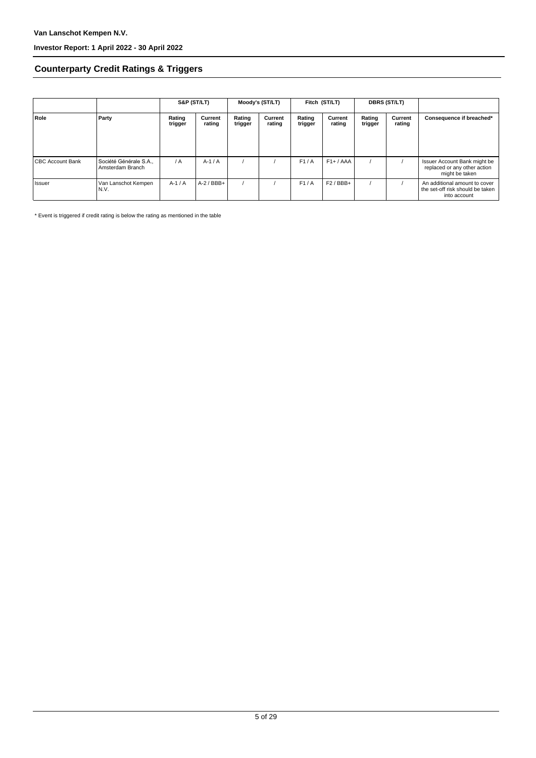### **Counterparty Credit Ratings & Triggers**

|                         |                                            | S&P (ST/LT)       |                   | Moody's (ST/LT)   |                   | Fitch (ST/LT)     |                   | <b>DBRS (ST/LT)</b> |                   |                                                                                   |  |
|-------------------------|--------------------------------------------|-------------------|-------------------|-------------------|-------------------|-------------------|-------------------|---------------------|-------------------|-----------------------------------------------------------------------------------|--|
| Role                    | Party                                      | Rating<br>trigger | Current<br>rating | Rating<br>trigger | Current<br>rating | Rating<br>trigger | Current<br>rating | Rating<br>trigger   | Current<br>rating | Consequence if breached*                                                          |  |
| <b>CBC Account Bank</b> | Société Générale S.A.,<br>Amsterdam Branch | $\overline{A}$    | $A-1/A$           |                   |                   | F1/A              | $F1+ / AAA$       |                     |                   | Issuer Account Bank might be<br>replaced or any other action<br>might be taken    |  |
| l Issuer                | Van Lanschot Kempen<br>N.V.                | $A-1/A$           | $A-2$ / BBB+      |                   |                   | F1/A              | $F2/BBB+$         |                     |                   | An additional amount to cover<br>the set-off risk should be taken<br>into account |  |

\* Event is triggered if credit rating is below the rating as mentioned in the table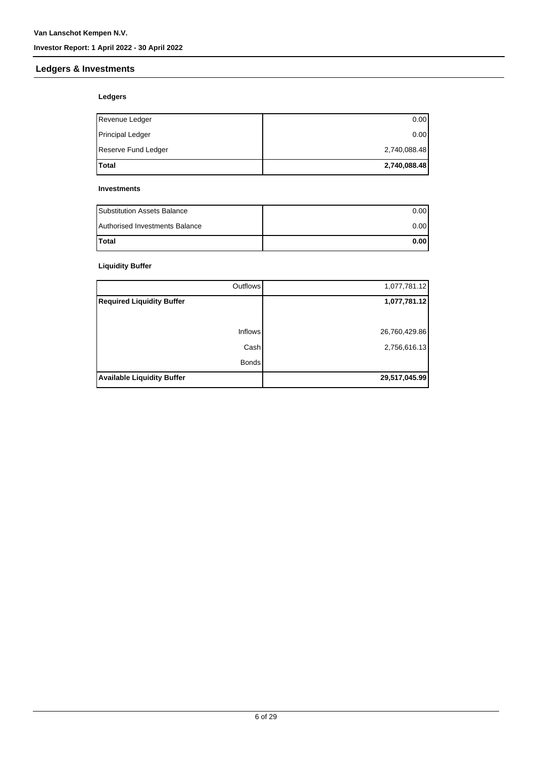### **Ledgers & Investments**

### **Ledgers**

| <b>Total</b>        | 2,740,088.48 |
|---------------------|--------------|
| Reserve Fund Ledger | 2,740,088.48 |
| Principal Ledger    | 0.00         |
| Revenue Ledger      | 0.00         |

#### **Investments**

| <b>Substitution Assets Balance</b> | 0.001 |
|------------------------------------|-------|
| Authorised Investments Balance     | 0.001 |
| <b>Total</b>                       | 0.001 |

### **Liquidity Buffer**

| Outflows <sup>1</sup>             | 1,077,781.12  |
|-----------------------------------|---------------|
| <b>Required Liquidity Buffer</b>  | 1,077,781.12  |
|                                   |               |
| <b>Inflows</b>                    | 26,760,429.86 |
| Cash                              | 2,756,616.13  |
| <b>Bonds</b>                      |               |
| <b>Available Liquidity Buffer</b> | 29,517,045.99 |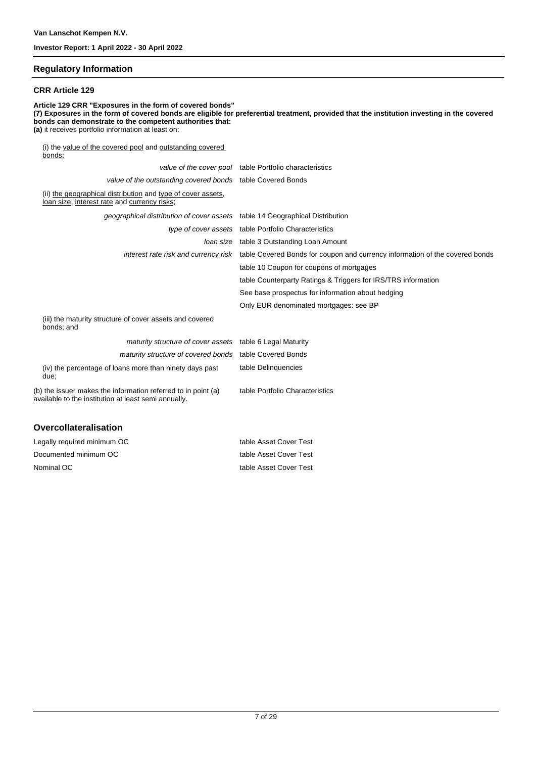#### **Regulatory Information**

#### **CRR Article 129**

**Article 129 CRR "Exposures in the form of covered bonds" (7) Exposures in the form of covered bonds are eligible for preferential treatment, provided that the institution investing in the covered bonds can demonstrate to the competent authorities that: (a)** it receives portfolio information at least on: (i) the value of the covered pool and outstanding covered bonds; value of the cover pool table Portfolio characteristics value of the outstanding covered bonds table Covered Bonds

| raido or tho odtotamang coronoa bondo - tablo ooronoa Bondo                                                           |                                                                                                                   |
|-----------------------------------------------------------------------------------------------------------------------|-------------------------------------------------------------------------------------------------------------------|
| (ii) the geographical distribution and type of cover assets,<br>loan size, interest rate and currency risks;          |                                                                                                                   |
| geographical distribution of cover assets table 14 Geographical Distribution                                          |                                                                                                                   |
|                                                                                                                       | type of cover assets table Portfolio Characteristics                                                              |
|                                                                                                                       | Joan size table 3 Outstanding Loan Amount                                                                         |
|                                                                                                                       | interest rate risk and currency risk table Covered Bonds for coupon and currency information of the covered bonds |
|                                                                                                                       | table 10 Coupon for coupons of mortgages                                                                          |
|                                                                                                                       | table Counterparty Ratings & Triggers for IRS/TRS information                                                     |
|                                                                                                                       | See base prospectus for information about hedging                                                                 |
|                                                                                                                       | Only EUR denominated mortgages: see BP                                                                            |
| (iii) the maturity structure of cover assets and covered<br>bonds; and                                                |                                                                                                                   |
| maturity structure of cover assets table 6 Legal Maturity                                                             |                                                                                                                   |
| maturity structure of covered bonds table Covered Bonds                                                               |                                                                                                                   |
| (iv) the percentage of loans more than ninety days past<br>due;                                                       | table Delinquencies                                                                                               |
| (b) the issuer makes the information referred to in point (a)<br>available to the institution at least semi annually. | table Portfolio Characteristics                                                                                   |
|                                                                                                                       |                                                                                                                   |

#### **Overcollateralisation**

| Legally required minimum OC | table Asset Cover Test |
|-----------------------------|------------------------|
| Documented minimum OC       | table Asset Cover Test |
| Nominal OC                  | table Asset Cover Test |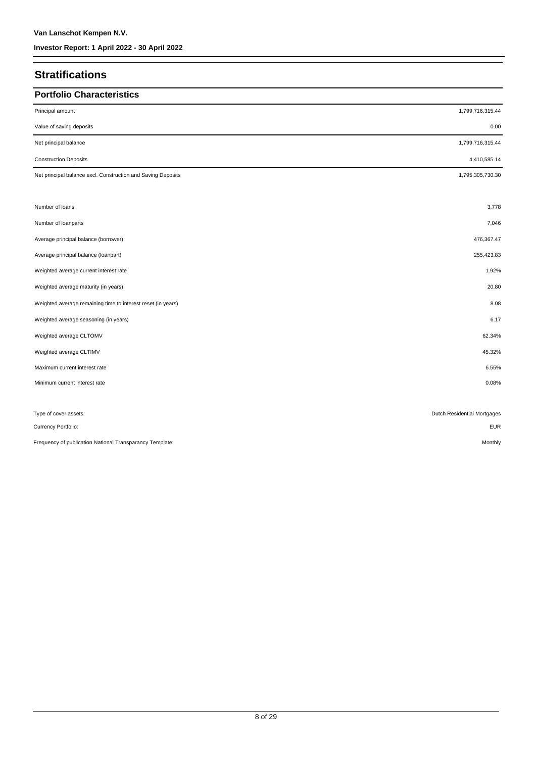### **Stratifications**

| <b>Portfolio Characteristics</b>                             |                             |
|--------------------------------------------------------------|-----------------------------|
| Principal amount                                             | 1,799,716,315.44            |
| Value of saving deposits                                     | 0.00                        |
| Net principal balance                                        | 1,799,716,315.44            |
| <b>Construction Deposits</b>                                 | 4,410,585.14                |
| Net principal balance excl. Construction and Saving Deposits | 1,795,305,730.30            |
|                                                              |                             |
| Number of loans                                              | 3,778                       |
| Number of loanparts                                          | 7,046                       |
| Average principal balance (borrower)                         | 476,367.47                  |
| Average principal balance (loanpart)                         | 255,423.83                  |
| Weighted average current interest rate                       | 1.92%                       |
| Weighted average maturity (in years)                         | 20.80                       |
| Weighted average remaining time to interest reset (in years) | 8.08                        |
| Weighted average seasoning (in years)                        | 6.17                        |
| Weighted average CLTOMV                                      | 62.34%                      |
| Weighted average CLTIMV                                      | 45.32%                      |
| Maximum current interest rate                                | 6.55%                       |
| Minimum current interest rate                                | 0.08%                       |
|                                                              |                             |
| Type of cover assets:                                        | Dutch Residential Mortgages |
| Currency Portfolio:                                          | <b>EUR</b>                  |
| Frequency of publication National Transparancy Template:     | Monthly                     |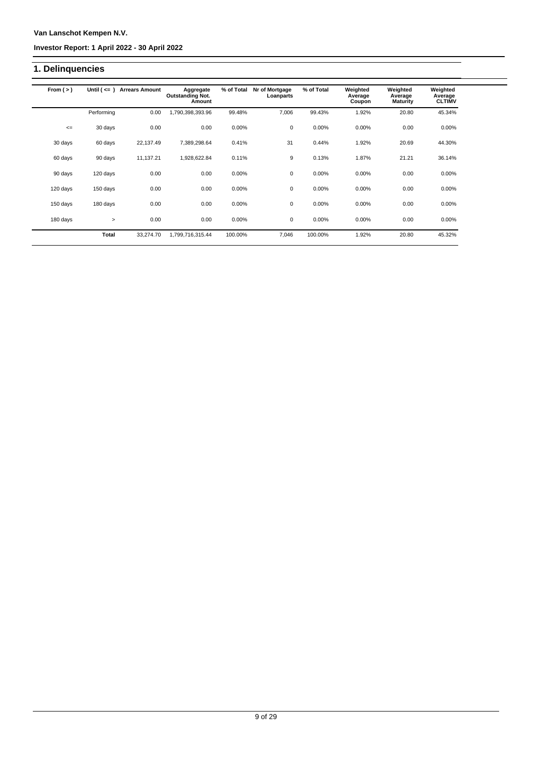#### **Investor Report: 1 April 2022 - 30 April 2022**

### **1. Delinquencies**

| From $(>)$ | Until $($ $\leq$ $=$ $)$ | <b>Arrears Amount</b> | Aggregate<br><b>Outstanding Not.</b><br>Amount | % of Total | Nr of Mortgage<br>Loanparts | % of Total | Weighted<br>Average<br>Coupon | Weighted<br>Average<br><b>Maturity</b> | Weighted<br>Average<br><b>CLTIMV</b> |
|------------|--------------------------|-----------------------|------------------------------------------------|------------|-----------------------------|------------|-------------------------------|----------------------------------------|--------------------------------------|
|            | Performing               | 0.00                  | 1,790,398,393.96                               | 99.48%     | 7,006                       | 99.43%     | 1.92%                         | 20.80                                  | 45.34%                               |
| $\leq$     | 30 days                  | 0.00                  | 0.00                                           | 0.00%      | $\mathbf 0$                 | 0.00%      | 0.00%                         | 0.00                                   | 0.00%                                |
| 30 days    | 60 days                  | 22,137.49             | 7,389,298.64                                   | 0.41%      | 31                          | 0.44%      | 1.92%                         | 20.69                                  | 44.30%                               |
| 60 days    | 90 days                  | 11.137.21             | 1,928,622.84                                   | 0.11%      | 9                           | 0.13%      | 1.87%                         | 21.21                                  | 36.14%                               |
| 90 days    | 120 days                 | 0.00                  | 0.00                                           | 0.00%      | $\mathbf 0$                 | 0.00%      | 0.00%                         | 0.00                                   | 0.00%                                |
| 120 days   | 150 days                 | 0.00                  | 0.00                                           | 0.00%      | 0                           | 0.00%      | 0.00%                         | 0.00                                   | 0.00%                                |
| 150 days   | 180 days                 | 0.00                  | 0.00                                           | 0.00%      | $\mathbf 0$                 | 0.00%      | 0.00%                         | 0.00                                   | 0.00%                                |
| 180 days   | $\geq$                   | 0.00                  | 0.00                                           | 0.00%      | $\mathbf 0$                 | 0.00%      | 0.00%                         | 0.00                                   | 0.00%                                |
|            | <b>Total</b>             | 33,274.70             | 1,799,716,315.44                               | 100.00%    | 7,046                       | 100.00%    | 1.92%                         | 20.80                                  | 45.32%                               |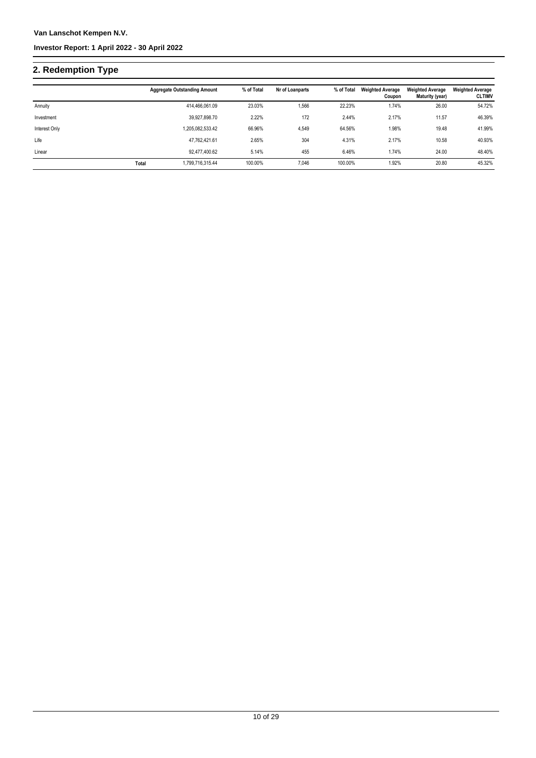# **2. Redemption Type**

|               |       | <b>Aggregate Outstanding Amount</b> | % of Total | Nr of Loanparts | % of Total | <b>Weighted Average</b><br>Coupon | <b>Weighted Average</b><br>Maturity (year) | <b>Weighted Average</b><br><b>CLTIMV</b> |
|---------------|-------|-------------------------------------|------------|-----------------|------------|-----------------------------------|--------------------------------------------|------------------------------------------|
| Annuity       |       | 414.466.061.09                      | 23.03%     | 1,566           | 22.23%     | 1.74%                             | 26.00                                      | 54.72%                                   |
| Investment    |       | 39.927.898.70                       | 2.22%      | 172             | 2.44%      | 2.17%                             | 11.57                                      | 46.39%                                   |
| Interest Only |       | 1,205,082,533.42                    | 66.96%     | 4,549           | 64.56%     | 1.98%                             | 19.48                                      | 41.99%                                   |
| Life          |       | 47,762,421.61                       | 2.65%      | 304             | 4.31%      | 2.17%                             | 10.58                                      | 40.93%                                   |
| Linear        |       | 92.477.400.62                       | 5.14%      | 455             | 6.46%      | 1.74%                             | 24.00                                      | 48.40%                                   |
|               | Total | 1.799.716.315.44                    | 100.00%    | 7.046           | 100.00%    | 1.92%                             | 20.80                                      | 45.32%                                   |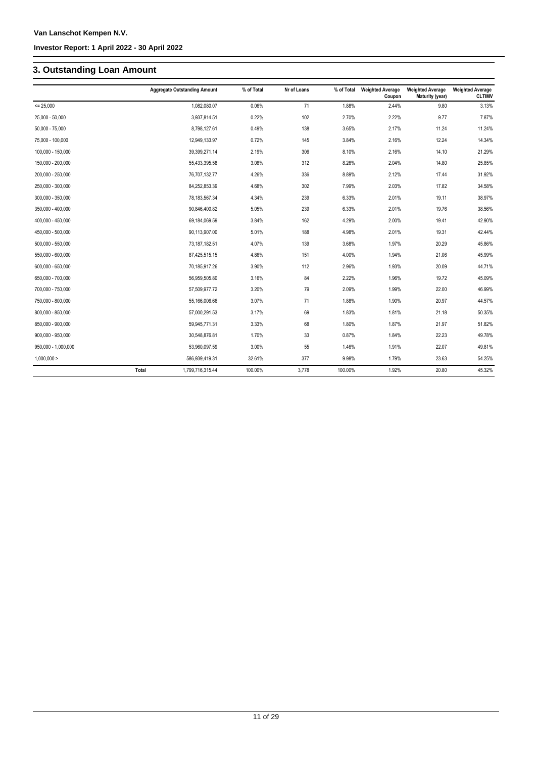## **3. Outstanding Loan Amount**

|                     | <b>Aggregate Outstanding Amount</b> | % of Total | Nr of Loans | % of Total | <b>Weighted Average</b><br>Coupon | <b>Weighted Average</b><br>Maturity (year) | <b>Weighted Average</b><br><b>CLTIMV</b> |
|---------------------|-------------------------------------|------------|-------------|------------|-----------------------------------|--------------------------------------------|------------------------------------------|
| $= 25,000$          | 1,082,080.07                        | 0.06%      | 71          | 1.88%      | 2.44%                             | 9.80                                       | 3.13%                                    |
| 25,000 - 50,000     | 3,937,814.51                        | 0.22%      | 102         | 2.70%      | 2.22%                             | 9.77                                       | 7.87%                                    |
| $50,000 - 75,000$   | 8,798,127.61                        | 0.49%      | 138         | 3.65%      | 2.17%                             | 11.24                                      | 11.24%                                   |
| 75,000 - 100,000    | 12,949,133.97                       | 0.72%      | 145         | 3.84%      | 2.16%                             | 12.24                                      | 14.34%                                   |
| 100,000 - 150,000   | 39,399,271.14                       | 2.19%      | 306         | 8.10%      | 2.16%                             | 14.10                                      | 21.29%                                   |
| 150,000 - 200,000   | 55,433,395.58                       | 3.08%      | 312         | 8.26%      | 2.04%                             | 14.80                                      | 25.85%                                   |
| 200,000 - 250,000   | 76,707,132.77                       | 4.26%      | 336         | 8.89%      | 2.12%                             | 17.44                                      | 31.92%                                   |
| 250,000 - 300,000   | 84,252,853.39                       | 4.68%      | 302         | 7.99%      | 2.03%                             | 17.82                                      | 34.58%                                   |
| 300,000 - 350,000   | 78,183,567.34                       | 4.34%      | 239         | 6.33%      | 2.01%                             | 19.11                                      | 38.97%                                   |
| 350,000 - 400,000   | 90,846,400.82                       | 5.05%      | 239         | 6.33%      | 2.01%                             | 19.76                                      | 38.56%                                   |
| 400,000 - 450,000   | 69,184,069.59                       | 3.84%      | 162         | 4.29%      | 2.00%                             | 19.41                                      | 42.90%                                   |
| 450,000 - 500,000   | 90,113,907.00                       | 5.01%      | 188         | 4.98%      | 2.01%                             | 19.31                                      | 42.44%                                   |
| $500,000 - 550,000$ | 73,187,182.51                       | 4.07%      | 139         | 3.68%      | 1.97%                             | 20.29                                      | 45.86%                                   |
| 550,000 - 600,000   | 87,425,515.15                       | 4.86%      | 151         | 4.00%      | 1.94%                             | 21.06                                      | 45.99%                                   |
| 600,000 - 650,000   | 70,185,917.26                       | 3.90%      | 112         | 2.96%      | 1.93%                             | 20.09                                      | 44.71%                                   |
| 650,000 - 700,000   | 56,959,505.80                       | 3.16%      | 84          | 2.22%      | 1.96%                             | 19.72                                      | 45.09%                                   |
| 700,000 - 750,000   | 57,509,977.72                       | 3.20%      | 79          | 2.09%      | 1.99%                             | 22.00                                      | 46.99%                                   |
| 750,000 - 800,000   | 55,166,006.66                       | 3.07%      | 71          | 1.88%      | 1.90%                             | 20.97                                      | 44.57%                                   |
| 800,000 - 850,000   | 57,000,291.53                       | 3.17%      | 69          | 1.83%      | 1.81%                             | 21.18                                      | 50.35%                                   |
| 850,000 - 900,000   | 59,945,771.31                       | 3.33%      | 68          | 1.80%      | 1.87%                             | 21.97                                      | 51.82%                                   |
| 900,000 - 950,000   | 30,548,876.81                       | 1.70%      | 33          | 0.87%      | 1.84%                             | 22.23                                      | 49.78%                                   |
| 950,000 - 1,000,000 | 53,960,097.59                       | 3.00%      | 55          | 1.46%      | 1.91%                             | 22.07                                      | 49.81%                                   |
| 1,000,000 >         | 586,939,419.31                      | 32.61%     | 377         | 9.98%      | 1.79%                             | 23.63                                      | 54.25%                                   |
|                     | Total<br>1,799,716,315.44           | 100.00%    | 3,778       | 100.00%    | 1.92%                             | 20.80                                      | 45.32%                                   |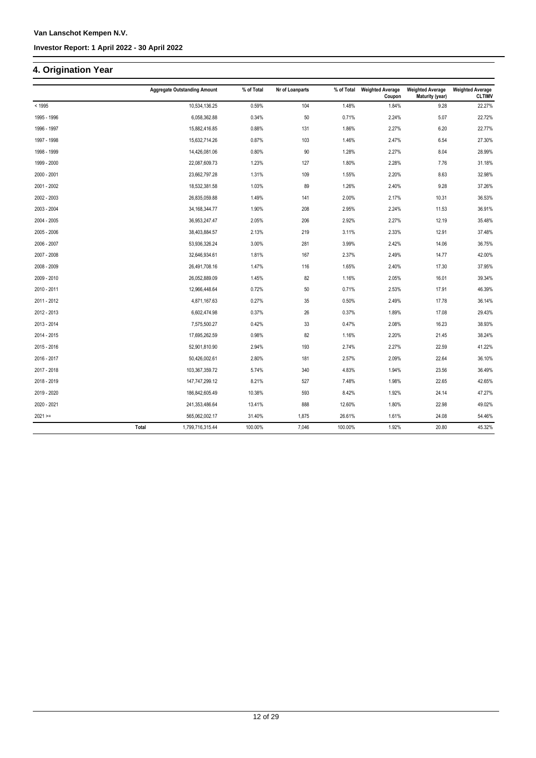### **4. Origination Year**

|             | <b>Aggregate Outstanding Amount</b> | % of Total | Nr of Loanparts | % of Total | <b>Weighted Average</b><br>Coupon | <b>Weighted Average</b><br>Maturity (year) | <b>Weighted Average</b><br><b>CLTIMV</b> |
|-------------|-------------------------------------|------------|-----------------|------------|-----------------------------------|--------------------------------------------|------------------------------------------|
| < 1995      | 10,534,136.25                       | 0.59%      | 104             | 1.48%      | 1.84%                             | 9.28                                       | 22.27%                                   |
| 1995 - 1996 | 6,058,362.88                        | 0.34%      | 50              | 0.71%      | 2.24%                             | 5.07                                       | 22.72%                                   |
| 1996 - 1997 | 15,882,416.85                       | 0.88%      | 131             | 1.86%      | 2.27%                             | 6.20                                       | 22.77%                                   |
| 1997 - 1998 | 15,632,714.26                       | 0.87%      | 103             | 1.46%      | 2.47%                             | 6.54                                       | 27.30%                                   |
| 1998 - 1999 | 14,426,081.06                       | 0.80%      | $90\,$          | 1.28%      | 2.27%                             | 8.04                                       | 28.99%                                   |
| 1999 - 2000 | 22,087,609.73                       | 1.23%      | 127             | 1.80%      | 2.28%                             | 7.76                                       | 31.18%                                   |
| 2000 - 2001 | 23,662,797.28                       | 1.31%      | 109             | 1.55%      | 2.20%                             | 8.63                                       | 32.98%                                   |
| 2001 - 2002 | 18,532,381.58                       | 1.03%      | 89              | 1.26%      | 2.40%                             | 9.28                                       | 37.26%                                   |
| 2002 - 2003 | 26,835,059.88                       | 1.49%      | 141             | 2.00%      | 2.17%                             | 10.31                                      | 36.53%                                   |
| 2003 - 2004 | 34, 168, 344. 77                    | 1.90%      | 208             | 2.95%      | 2.24%                             | 11.53                                      | 36.91%                                   |
| 2004 - 2005 | 36,953,247.47                       | 2.05%      | 206             | 2.92%      | 2.27%                             | 12.19                                      | 35.48%                                   |
| 2005 - 2006 | 38,403,884.57                       | 2.13%      | 219             | 3.11%      | 2.33%                             | 12.91                                      | 37.48%                                   |
| 2006 - 2007 | 53,936,326.24                       | 3.00%      | 281             | 3.99%      | 2.42%                             | 14.06                                      | 36.75%                                   |
| 2007 - 2008 | 32,646,934.61                       | 1.81%      | 167             | 2.37%      | 2.49%                             | 14.77                                      | 42.00%                                   |
| 2008 - 2009 | 26,491,708.16                       | 1.47%      | 116             | 1.65%      | 2.40%                             | 17.30                                      | 37.95%                                   |
| 2009 - 2010 | 26,052,889.09                       | 1.45%      | 82              | 1.16%      | 2.05%                             | 16.01                                      | 39.34%                                   |
| 2010 - 2011 | 12,966,448.64                       | 0.72%      | 50              | 0.71%      | 2.53%                             | 17.91                                      | 46.39%                                   |
| 2011 - 2012 | 4,871,167.63                        | 0.27%      | 35              | 0.50%      | 2.49%                             | 17.78                                      | 36.14%                                   |
| 2012 - 2013 | 6,602,474.98                        | 0.37%      | 26              | 0.37%      | 1.89%                             | 17.08                                      | 29.43%                                   |
| 2013 - 2014 | 7,575,500.27                        | 0.42%      | 33              | 0.47%      | 2.08%                             | 16.23                                      | 38.93%                                   |
| 2014 - 2015 | 17,695,262.59                       | 0.98%      | 82              | 1.16%      | 2.20%                             | 21.45                                      | 38.24%                                   |
| 2015 - 2016 | 52,901,810.90                       | 2.94%      | 193             | 2.74%      | 2.27%                             | 22.59                                      | 41.22%                                   |
| 2016 - 2017 | 50,426,002.61                       | 2.80%      | 181             | 2.57%      | 2.09%                             | 22.64                                      | 36.10%                                   |
| 2017 - 2018 | 103,367,359.72                      | 5.74%      | 340             | 4.83%      | 1.94%                             | 23.56                                      | 36.49%                                   |
| 2018 - 2019 | 147,747,299.12                      | 8.21%      | 527             | 7.48%      | 1.98%                             | 22.65                                      | 42.65%                                   |
| 2019 - 2020 | 186,842,605.49                      | 10.38%     | 593             | 8.42%      | 1.92%                             | 24.14                                      | 47.27%                                   |
| 2020 - 2021 | 241,353,486.64                      | 13.41%     | 888             | 12.60%     | 1.80%                             | 22.98                                      | 49.02%                                   |
| $2021 ==$   | 565,062,002.17                      | 31.40%     | 1,875           | 26.61%     | 1.61%                             | 24.08                                      | 54.46%                                   |
|             | 1,799,716,315.44<br>Total           | 100.00%    | 7,046           | 100.00%    | 1.92%                             | 20.80                                      | 45.32%                                   |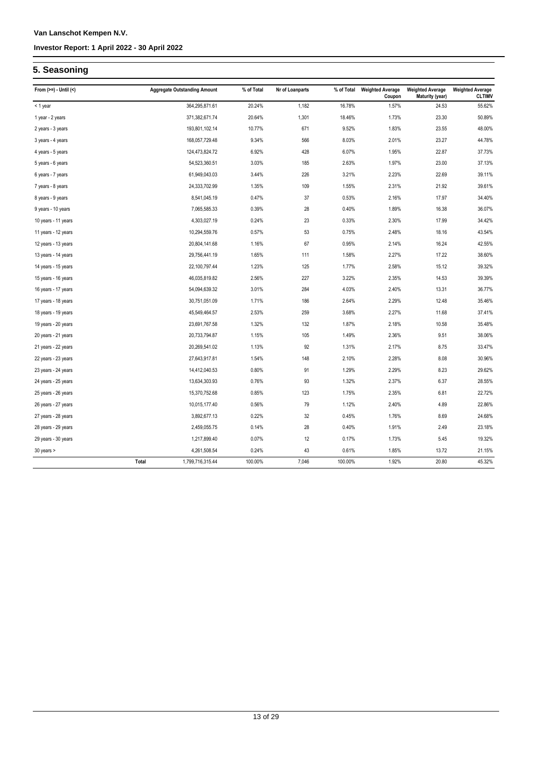### **5. Seasoning**

| From $(>=) -$ Until $($ |       | <b>Aggregate Outstanding Amount</b> | % of Total | Nr of Loanparts | % of Total | <b>Weighted Average</b><br>Coupon | <b>Weighted Average</b><br><b>Maturity (year)</b> | <b>Weighted Average</b><br><b>CLTIMV</b> |
|-------------------------|-------|-------------------------------------|------------|-----------------|------------|-----------------------------------|---------------------------------------------------|------------------------------------------|
| < 1 year                |       | 364,295,871.61                      | 20.24%     | 1,182           | 16.78%     | 1.57%                             | 24.53                                             | 55.62%                                   |
| 1 year - 2 years        |       | 371,382,671.74                      | 20.64%     | 1,301           | 18.46%     | 1.73%                             | 23.30                                             | 50.89%                                   |
| 2 years - 3 years       |       | 193,801,102.14                      | 10.77%     | 671             | 9.52%      | 1.83%                             | 23.55                                             | 48.00%                                   |
| 3 years - 4 years       |       | 168,057,729.48                      | 9.34%      | 566             | 8.03%      | 2.01%                             | 23.27                                             | 44.78%                                   |
| 4 years - 5 years       |       | 124,473,824.72                      | 6.92%      | 428             | 6.07%      | 1.95%                             | 22.87                                             | 37.73%                                   |
| 5 years - 6 years       |       | 54,523,360.51                       | 3.03%      | 185             | 2.63%      | 1.97%                             | 23.00                                             | 37.13%                                   |
| 6 years - 7 years       |       | 61,949,043.03                       | 3.44%      | 226             | 3.21%      | 2.23%                             | 22.69                                             | 39.11%                                   |
| 7 years - 8 years       |       | 24,333,702.99                       | 1.35%      | 109             | 1.55%      | 2.31%                             | 21.92                                             | 39.61%                                   |
| 8 years - 9 years       |       | 8,541,045.19                        | 0.47%      | 37              | 0.53%      | 2.16%                             | 17.97                                             | 34.40%                                   |
| 9 years - 10 years      |       | 7,065,585.33                        | 0.39%      | 28              | 0.40%      | 1.89%                             | 16.38                                             | 36.07%                                   |
| 10 years - 11 years     |       | 4,303,027.19                        | 0.24%      | 23              | 0.33%      | 2.30%                             | 17.99                                             | 34.42%                                   |
| 11 years - 12 years     |       | 10,294,559.76                       | 0.57%      | 53              | 0.75%      | 2.48%                             | 18.16                                             | 43.54%                                   |
| 12 years - 13 years     |       | 20,804,141.68                       | 1.16%      | 67              | 0.95%      | 2.14%                             | 16.24                                             | 42.55%                                   |
| 13 years - 14 years     |       | 29,756,441.19                       | 1.65%      | 111             | 1.58%      | 2.27%                             | 17.22                                             | 38.60%                                   |
| 14 years - 15 years     |       | 22,100,797.44                       | 1.23%      | 125             | 1.77%      | 2.58%                             | 15.12                                             | 39.32%                                   |
| 15 years - 16 years     |       | 46,035,819.82                       | 2.56%      | 227             | 3.22%      | 2.35%                             | 14.53                                             | 39.39%                                   |
| 16 years - 17 years     |       | 54,094,639.32                       | 3.01%      | 284             | 4.03%      | 2.40%                             | 13.31                                             | 36.77%                                   |
| 17 years - 18 years     |       | 30,751,051.09                       | 1.71%      | 186             | 2.64%      | 2.29%                             | 12.48                                             | 35.46%                                   |
| 18 years - 19 years     |       | 45,549,464.57                       | 2.53%      | 259             | 3.68%      | 2.27%                             | 11.68                                             | 37.41%                                   |
| 19 years - 20 years     |       | 23,691,767.58                       | 1.32%      | 132             | 1.87%      | 2.18%                             | 10.58                                             | 35.48%                                   |
| 20 years - 21 years     |       | 20,733,794.87                       | 1.15%      | 105             | 1.49%      | 2.36%                             | 9.51                                              | 38.06%                                   |
| 21 years - 22 years     |       | 20,269,541.02                       | 1.13%      | 92              | 1.31%      | 2.17%                             | 8.75                                              | 33.47%                                   |
| 22 years - 23 years     |       | 27,643,917.81                       | 1.54%      | 148             | 2.10%      | 2.28%                             | 8.08                                              | 30.96%                                   |
| 23 years - 24 years     |       | 14,412,040.53                       | 0.80%      | 91              | 1.29%      | 2.29%                             | 8.23                                              | 29.62%                                   |
| 24 years - 25 years     |       | 13,634,303.93                       | 0.76%      | 93              | 1.32%      | 2.37%                             | 6.37                                              | 28.55%                                   |
| 25 years - 26 years     |       | 15,370,752.68                       | 0.85%      | 123             | 1.75%      | 2.35%                             | 6.81                                              | 22.72%                                   |
| 26 years - 27 years     |       | 10,015,177.40                       | 0.56%      | 79              | 1.12%      | 2.40%                             | 4.89                                              | 22.86%                                   |
| 27 years - 28 years     |       | 3,892,677.13                        | 0.22%      | 32              | 0.45%      | 1.76%                             | 8.69                                              | 24.68%                                   |
| 28 years - 29 years     |       | 2,459,055.75                        | 0.14%      | 28              | 0.40%      | 1.91%                             | 2.49                                              | 23.18%                                   |
| 29 years - 30 years     |       | 1,217,899.40                        | 0.07%      | 12              | 0.17%      | 1.73%                             | 5.45                                              | 19.32%                                   |
| 30 years >              |       | 4,261,508.54                        | 0.24%      | 43              | 0.61%      | 1.85%                             | 13.72                                             | 21.15%                                   |
|                         | Total | 1,799,716,315.44                    | 100.00%    | 7,046           | 100.00%    | 1.92%                             | 20.80                                             | 45.32%                                   |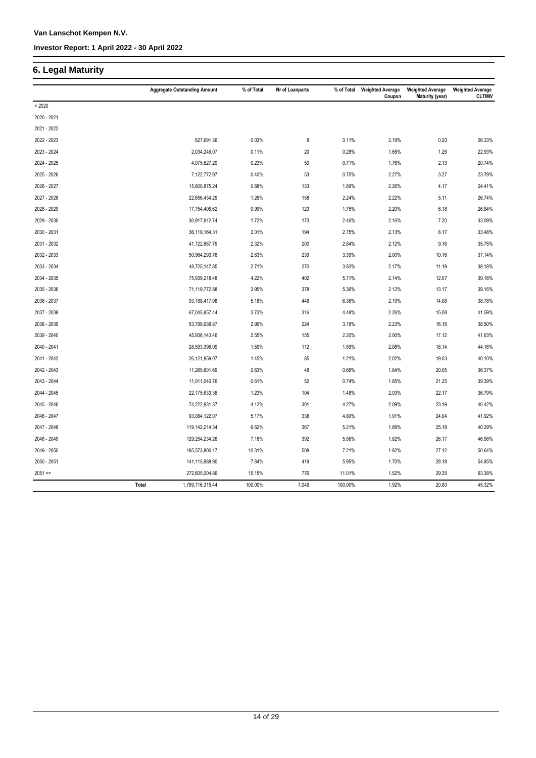### **6. Legal Maturity**

|             |       | <b>Aggregate Outstanding Amount</b> | % of Total | Nr of Loanparts | % of Total | <b>Weighted Average</b><br>Coupon | <b>Weighted Average</b><br>Maturity (year) | <b>Weighted Average</b><br><b>CLTIMV</b> |
|-------------|-------|-------------------------------------|------------|-----------------|------------|-----------------------------------|--------------------------------------------|------------------------------------------|
| < 2020      |       |                                     |            |                 |            |                                   |                                            |                                          |
| 2020 - 2021 |       |                                     |            |                 |            |                                   |                                            |                                          |
| 2021 - 2022 |       |                                     |            |                 |            |                                   |                                            |                                          |
| 2022 - 2023 |       | 627,691.36                          | 0.03%      | 8               | 0.11%      | 2.19%                             | 0.20                                       | 26.33%                                   |
| 2023 - 2024 |       | 2,034,246.07                        | 0.11%      | 20              | 0.28%      | 1.65%                             | 1.26                                       | 22.93%                                   |
| 2024 - 2025 |       | 4,075,627.29                        | 0.23%      | 50              | 0.71%      | 1.76%                             | 2.13                                       | 20.74%                                   |
| 2025 - 2026 |       | 7,122,772.97                        | 0.40%      | 53              | 0.75%      | 2.27%                             | 3.27                                       | 23.79%                                   |
| 2026 - 2027 |       | 15,800,875.24                       | 0.88%      | 133             | 1.89%      | 2.26%                             | 4.17                                       | 24.41%                                   |
| 2027 - 2028 |       | 22,656,434.29                       | 1.26%      | 158             | 2.24%      | 2.22%                             | 5.11                                       | 26.74%                                   |
| 2028 - 2029 |       | 17,754,406.62                       | 0.99%      | 123             | 1.75%      | 2.20%                             | 6.18                                       | 26.84%                                   |
| 2029 - 2030 |       | 30,917,912.74                       | 1.72%      | 173             | 2.46%      | 2.16%                             | 7.20                                       | 33.09%                                   |
| 2030 - 2031 |       | 36,119,164.31                       | 2.01%      | 194             | 2.75%      | 2.13%                             | 8.17                                       | 33.48%                                   |
| 2031 - 2032 |       | 41,722,667.79                       | 2.32%      | 200             | 2.84%      | 2.12%                             | 9.16                                       | 35.75%                                   |
| 2032 - 2033 |       | 50,964,293.76                       | 2.83%      | 239             | 3.39%      | 2.00%                             | 10.16                                      | 37.14%                                   |
| 2033 - 2034 |       | 48,725,147.85                       | 2.71%      | 270             | 3.83%      | 2.17%                             | 11.19                                      | 38.18%                                   |
| 2034 - 2035 |       | 75,939,218.48                       | 4.22%      | 402             | 5.71%      | 2.14%                             | 12.07                                      | 39.16%                                   |
| 2035 - 2036 |       | 71,119,772.88                       | 3.95%      | 378             | 5.36%      | 2.12%                             | 13.17                                      | 39.16%                                   |
| 2036 - 2037 |       | 93,188,417.08                       | 5.18%      | 448             | 6.36%      | 2.19%                             | 14.08                                      | 38.78%                                   |
| 2037 - 2038 |       | 67,045,857.44                       | 3.73%      | 316             | 4.48%      | 2.26%                             | 15.08                                      | 41.59%                                   |
| 2038 - 2039 |       | 53,799,938.87                       | 2.99%      | 224             | 3.18%      | 2.23%                             | 16.16                                      | 38.50%                                   |
| 2039 - 2040 |       | 45,936,143.46                       | 2.55%      | 155             | 2.20%      | 2.00%                             | 17.12                                      | 41.63%                                   |
| 2040 - 2041 |       | 28,593,396.09                       | 1.59%      | 112             | 1.59%      | 2.08%                             | 18.14                                      | 44.16%                                   |
| 2041 - 2042 |       | 26,121,859.07                       | 1.45%      | 85              | 1.21%      | 2.02%                             | 19.03                                      | 40.10%                                   |
| 2042 - 2043 |       | 11,265,601.69                       | 0.63%      | 48              | 0.68%      | 1.84%                             | 20.05                                      | 36.37%                                   |
| 2043 - 2044 |       | 11,011,040.76                       | 0.61%      | 52              | 0.74%      | 1.85%                             | 21.25                                      | 39.39%                                   |
| 2044 - 2045 |       | 22,175,633.36                       | 1.23%      | 104             | 1.48%      | 2.03%                             | 22.17                                      | 36.79%                                   |
| 2045 - 2046 |       | 74,222,831.37                       | 4.12%      | 301             | 4.27%      | 2.09%                             | 23.19                                      | 40.42%                                   |
| 2046 - 2047 |       | 93,084,122.07                       | 5.17%      | 338             | 4.80%      | 1.91%                             | 24.04                                      | 41.92%                                   |
| 2047 - 2048 |       | 119, 142, 214. 34                   | 6.62%      | 367             | 5.21%      | 1.89%                             | 25.18                                      | 40.29%                                   |
| 2048 - 2049 |       | 129,254,234.26                      | 7.18%      | 392             | 5.56%      | 1.82%                             | 26.17                                      | 46.98%                                   |
| 2049 - 2050 |       | 185,573,800.17                      | 10.31%     | 508             | 7.21%      | 1.82%                             | 27.12                                      | 50.64%                                   |
| 2050 - 2051 |       | 141,115,988.90                      | 7.84%      | 419             | 5.95%      | 1.70%                             | 28.18                                      | 54.85%                                   |
| $2051 =$    |       | 272,605,004.86                      | 15.15%     | 776             | 11.01%     | 1.52%                             | 29.35                                      | 63.38%                                   |
|             | Total | 1,799,716,315.44                    | 100.00%    | 7,046           | 100.00%    | 1.92%                             | 20.80                                      | 45.32%                                   |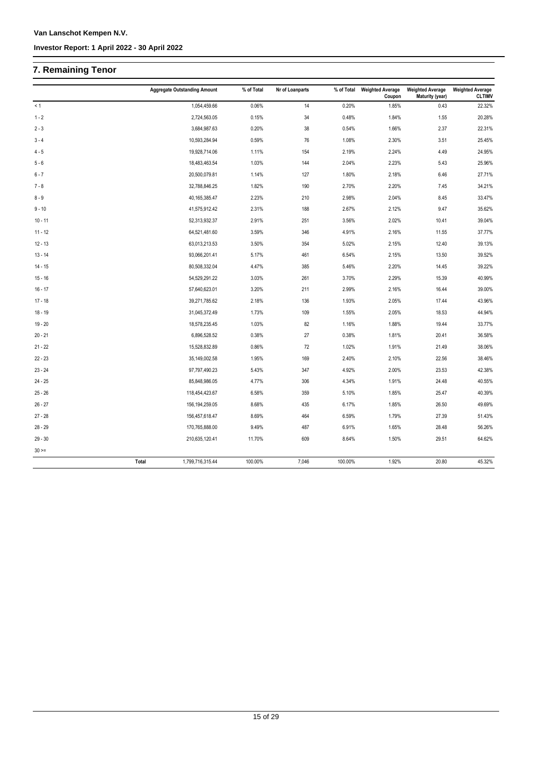## **7. Remaining Tenor**

|             | <b>Aggregate Outstanding Amount</b> | % of Total   | Nr of Loanparts  | % of Total | <b>Weighted Average</b><br>Coupon | <b>Weighted Average</b><br>Maturity (year) | <b>Weighted Average</b><br><b>CLTIMV</b> |
|-------------|-------------------------------------|--------------|------------------|------------|-----------------------------------|--------------------------------------------|------------------------------------------|
| < 1         |                                     | 1,054,459.66 | 0.06%<br>14      | 0.20%      | 1.85%                             | 0.43                                       | 22.32%                                   |
| $1 - 2$     |                                     | 2,724,563.05 | 0.15%<br>34      | 0.48%      | 1.84%                             | 1.55                                       | 20.28%                                   |
| $2 - 3$     |                                     | 3,684,987.63 | 0.20%<br>38      | 0.54%      | 1.66%                             | 2.37                                       | 22.31%                                   |
| $3 - 4$     | 10,593,284.94                       |              | 0.59%<br>76      | 1.08%      | 2.30%                             | 3.51                                       | 25.45%                                   |
| $4 - 5$     | 19,928,714.06                       |              | 154<br>1.11%     | 2.19%      | 2.24%                             | 4.49                                       | 24.95%                                   |
| $5 - 6$     | 18,483,463.54                       |              | 1.03%<br>144     | 2.04%      | 2.23%                             | 5.43                                       | 25.96%                                   |
| $6 - 7$     | 20,500,079.81                       |              | 1.14%<br>127     | 1.80%      | 2.18%                             | 6.46                                       | 27.71%                                   |
| $7 - 8$     | 32,788,846.25                       |              | 1.82%<br>190     | 2.70%      | 2.20%                             | 7.45                                       | 34.21%                                   |
| $8 - 9$     | 40, 165, 385. 47                    |              | 2.23%<br>210     | 2.98%      | 2.04%                             | 8.45                                       | 33.47%                                   |
| $9 - 10$    | 41,575,912.42                       |              | 2.31%<br>188     | 2.67%      | 2.12%                             | 9.47                                       | 35.62%                                   |
| $10 - 11$   | 52,313,932.37                       |              | 2.91%<br>251     | 3.56%      | 2.02%                             | 10.41                                      | 39.04%                                   |
| $11 - 12$   | 64,521,481.60                       |              | 3.59%<br>346     | 4.91%      | 2.16%                             | 11.55                                      | 37.77%                                   |
| $12 - 13$   | 63,013,213.53                       |              | 3.50%<br>354     | 5.02%      | 2.15%                             | 12.40                                      | 39.13%                                   |
| $13 - 14$   | 93,066,201.41                       |              | 5.17%<br>461     | 6.54%      | 2.15%                             | 13.50                                      | 39.52%                                   |
| $14 - 15$   | 80,508,332.04                       |              | 4.47%<br>385     | 5.46%      | 2.20%                             | 14.45                                      | 39.22%                                   |
| $15 - 16$   | 54,529,291.22                       |              | 3.03%<br>261     | 3.70%      | 2.29%                             | 15.39                                      | 40.99%                                   |
| $16 - 17$   | 57,640,623.01                       |              | 3.20%<br>211     | 2.99%      | 2.16%                             | 16.44                                      | 39.00%                                   |
| $17 - 18$   | 39,271,785.62                       |              | 2.18%<br>136     | 1.93%      | 2.05%                             | 17.44                                      | 43.96%                                   |
| $18 - 19$   | 31,045,372.49                       |              | 1.73%<br>109     | 1.55%      | 2.05%                             | 18.53                                      | 44.94%                                   |
| $19 - 20$   | 18,578,235.45                       |              | 1.03%<br>82      | 1.16%      | 1.88%                             | 19.44                                      | 33.77%                                   |
| $20 - 21$   |                                     | 6,896,528.52 | 0.38%<br>27      | 0.38%      | 1.81%                             | 20.41                                      | 36.58%                                   |
| $21 - 22$   | 15,528,832.89                       |              | 0.86%<br>72      | 1.02%      | 1.91%                             | 21.49                                      | 38.06%                                   |
| $22 - 23$   | 35,149,002.58                       |              | 1.95%<br>169     | 2.40%      | 2.10%                             | 22.56                                      | 38.46%                                   |
| $23 - 24$   | 97,797,490.23                       |              | 347<br>5.43%     | 4.92%      | 2.00%                             | 23.53                                      | 42.38%                                   |
| $24 - 25$   | 85,848,986.05                       |              | 4.77%<br>306     | 4.34%      | 1.91%                             | 24.48                                      | 40.55%                                   |
| $25 - 26$   | 118,454,423.67                      |              | 6.58%<br>359     | 5.10%      | 1.85%                             | 25.47                                      | 40.39%                                   |
| $26 - 27$   | 156, 194, 259.05                    |              | 8.68%<br>435     | 6.17%      | 1.85%                             | 26.50                                      | 49.69%                                   |
| $27 - 28$   | 156,457,618.47                      |              | 8.69%<br>464     | 6.59%      | 1.79%                             | 27.39                                      | 51.43%                                   |
| $28 - 29$   | 170,765,888.00                      |              | 9.49%<br>487     | 6.91%      | 1.65%                             | 28.48                                      | 56.26%                                   |
| $29 - 30$   | 210,635,120.41                      |              | 11.70%<br>609    | 8.64%      | 1.50%                             | 29.51                                      | 64.62%                                   |
| $30 \geq 1$ |                                     |              |                  |            |                                   |                                            |                                          |
|             | 1,799,716,315.44<br>Total           |              | 100.00%<br>7,046 | 100.00%    | 1.92%                             | 20.80                                      | 45.32%                                   |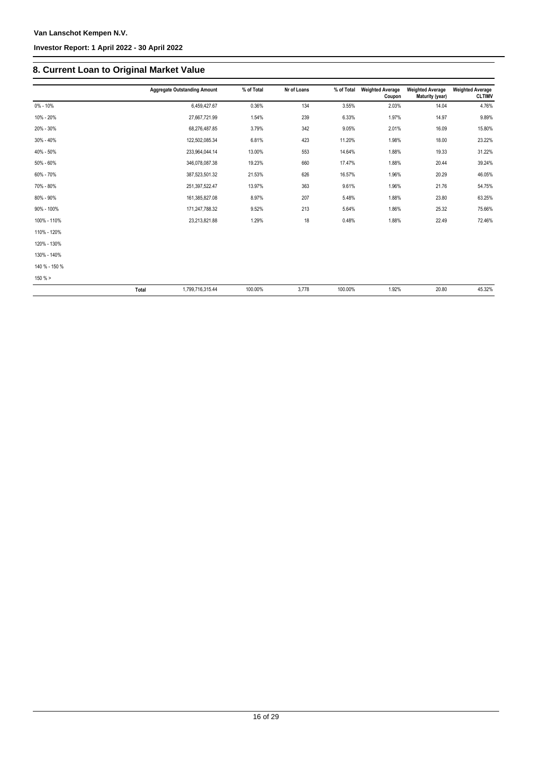#### **Investor Report: 1 April 2022 - 30 April 2022**

### **8. Current Loan to Original Market Value**

|               | <b>Aggregate Outstanding Amount</b> | % of Total | Nr of Loans | % of Total | <b>Weighted Average</b><br>Coupon | <b>Weighted Average</b><br>Maturity (year) | <b>Weighted Average</b><br><b>CLTIMV</b> |
|---------------|-------------------------------------|------------|-------------|------------|-----------------------------------|--------------------------------------------|------------------------------------------|
| 0% - 10%      | 6.459.427.67                        | 0.36%      | 134         | 3.55%      | 2.03%                             | 14.04                                      | 4.76%                                    |
| 10% - 20%     | 27,667,721.99                       | 1.54%      | 239         | 6.33%      | 1.97%                             | 14.97                                      | 9.89%                                    |
| 20% - 30%     | 68,276,487.85                       | 3.79%      | 342         | 9.05%      | 2.01%                             | 16.09                                      | 15.80%                                   |
| 30% - 40%     | 122,502,085.34                      | 6.81%      | 423         | 11.20%     | 1.98%                             | 18.00                                      | 23.22%                                   |
| 40% - 50%     | 233,964,044.14                      | 13.00%     | 553         | 14.64%     | 1.88%                             | 19.33                                      | 31.22%                                   |
| 50% - 60%     | 346,078,087.38                      | 19.23%     | 660         | 17.47%     | 1.88%                             | 20.44                                      | 39.24%                                   |
| 60% - 70%     | 387,523,501.32                      | 21.53%     | 626         | 16.57%     | 1.96%                             | 20.29                                      | 46.05%                                   |
| 70% - 80%     | 251, 397, 522. 47                   | 13.97%     | 363         | 9.61%      | 1.96%                             | 21.76                                      | 54.75%                                   |
| 80% - 90%     | 161,385,827.08                      | 8.97%      | 207         | 5.48%      | 1.88%                             | 23.80                                      | 63.25%                                   |
| 90% - 100%    | 171,247,788.32                      | 9.52%      | 213         | 5.64%      | 1.86%                             | 25.32                                      | 75.66%                                   |
| 100% - 110%   | 23,213,821.88                       | 1.29%      | 18          | 0.48%      | 1.88%                             | 22.49                                      | 72.46%                                   |
| 110% - 120%   |                                     |            |             |            |                                   |                                            |                                          |
| 120% - 130%   |                                     |            |             |            |                                   |                                            |                                          |
| 130% - 140%   |                                     |            |             |            |                                   |                                            |                                          |
| 140 % - 150 % |                                     |            |             |            |                                   |                                            |                                          |
| 150%          |                                     |            |             |            |                                   |                                            |                                          |
|               | Total<br>1,799,716,315.44           | 100.00%    | 3,778       | 100.00%    | 1.92%                             | 20.80                                      | 45.32%                                   |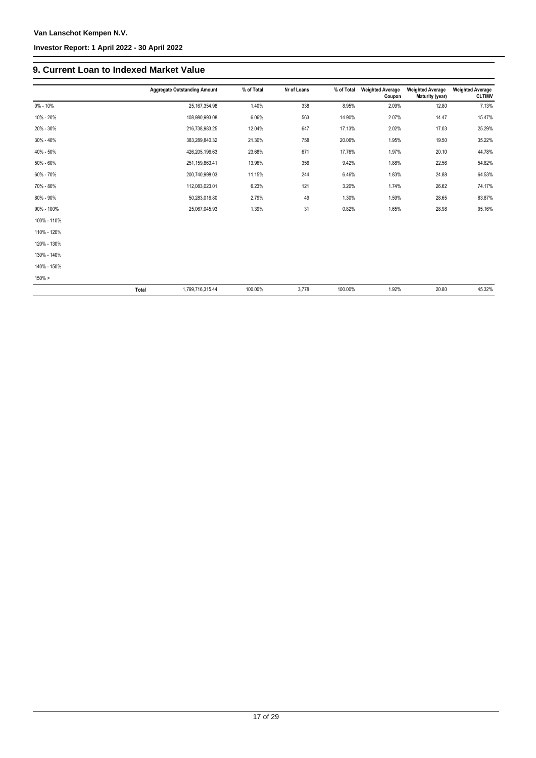#### **Investor Report: 1 April 2022 - 30 April 2022**

### **9. Current Loan to Indexed Market Value**

|             | <b>Aggregate Outstanding Amount</b> | % of Total | Nr of Loans | % of Total | <b>Weighted Average</b><br>Coupon | <b>Weighted Average</b><br>Maturity (year) | <b>Weighted Average</b><br><b>CLTIMV</b> |
|-------------|-------------------------------------|------------|-------------|------------|-----------------------------------|--------------------------------------------|------------------------------------------|
| 0% - 10%    | 25, 167, 354.98                     | 1.40%      | 338         | 8.95%      | 2.09%                             | 12.80                                      | 7.13%                                    |
| 10% - 20%   | 108,980,993.08                      | 6.06%      | 563         | 14.90%     | 2.07%                             | 14.47                                      | 15.47%                                   |
| 20% - 30%   | 216,738,983.25                      | 12.04%     | 647         | 17.13%     | 2.02%                             | 17.03                                      | 25.29%                                   |
| 30% - 40%   | 383,289,840.32                      | 21.30%     | 758         | 20.06%     | 1.95%                             | 19.50                                      | 35.22%                                   |
| 40% - 50%   | 426,205,196.63                      | 23.68%     | 671         | 17.76%     | 1.97%                             | 20.10                                      | 44.78%                                   |
| 50% - 60%   | 251,159,863.41                      | 13.96%     | 356         | 9.42%      | 1.88%                             | 22.56                                      | 54.82%                                   |
| 60% - 70%   | 200,740,998.03                      | 11.15%     | 244         | 6.46%      | 1.83%                             | 24.88                                      | 64.53%                                   |
| 70% - 80%   | 112,083,023.01                      | 6.23%      | 121         | 3.20%      | 1.74%                             | 26.62                                      | 74.17%                                   |
| 80% - 90%   | 50,283,016.80                       | 2.79%      | 49          | 1.30%      | 1.59%                             | 28.65                                      | 83.87%                                   |
| 90% - 100%  | 25,067,045.93                       | 1.39%      | 31          | 0.82%      | 1.65%                             | 28.98                                      | 95.16%                                   |
| 100% - 110% |                                     |            |             |            |                                   |                                            |                                          |
| 110% - 120% |                                     |            |             |            |                                   |                                            |                                          |
| 120% - 130% |                                     |            |             |            |                                   |                                            |                                          |
| 130% - 140% |                                     |            |             |            |                                   |                                            |                                          |
| 140% - 150% |                                     |            |             |            |                                   |                                            |                                          |
| $150\% >$   |                                     |            |             |            |                                   |                                            |                                          |
|             | Total<br>1,799,716,315.44           | 100.00%    | 3,778       | 100.00%    | 1.92%                             | 20.80                                      | 45.32%                                   |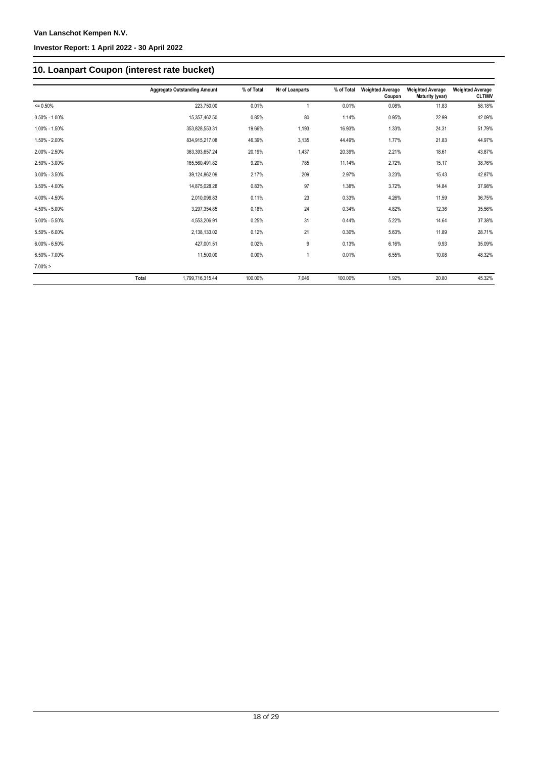### **10. Loanpart Coupon (interest rate bucket)**

|                   |              | <b>Aggregate Outstanding Amount</b> | % of Total | Nr of Loanparts | % of Total | <b>Weighted Average</b><br>Coupon | <b>Weighted Average</b><br>Maturity (year) | <b>Weighted Average</b><br><b>CLTIMV</b> |
|-------------------|--------------|-------------------------------------|------------|-----------------|------------|-----------------------------------|--------------------------------------------|------------------------------------------|
| $= 0.50%$         |              | 223,750.00                          | 0.01%      |                 | 0.01%      | 0.08%                             | 11.83                                      | 58.18%                                   |
| $0.50\% - 1.00\%$ |              | 15,357,462.50                       | 0.85%      | 80              | 1.14%      | 0.95%                             | 22.99                                      | 42.09%                                   |
| 1.00% - 1.50%     |              | 353,828,553.31                      | 19.66%     | 1,193           | 16.93%     | 1.33%                             | 24.31                                      | 51.79%                                   |
| 1.50% - 2.00%     |              | 834,915,217.08                      | 46.39%     | 3,135           | 44.49%     | 1.77%                             | 21.83                                      | 44.97%                                   |
| 2.00% - 2.50%     |              | 363,393,657.24                      | 20.19%     | 1,437           | 20.39%     | 2.21%                             | 18.61                                      | 43.87%                                   |
| 2.50% - 3.00%     |              | 165,560,491.82                      | 9.20%      | 785             | 11.14%     | 2.72%                             | 15.17                                      | 38.76%                                   |
| $3.00\% - 3.50\%$ |              | 39,124,862.09                       | 2.17%      | 209             | 2.97%      | 3.23%                             | 15.43                                      | 42.87%                                   |
| $3.50\% - 4.00\%$ |              | 14,875,028.28                       | 0.83%      | 97              | 1.38%      | 3.72%                             | 14.84                                      | 37.98%                                   |
| 4.00% - 4.50%     |              | 2,010,096.83                        | 0.11%      | 23              | 0.33%      | 4.26%                             | 11.59                                      | 36.75%                                   |
| 4.50% - 5.00%     |              | 3,297,354.85                        | 0.18%      | 24              | 0.34%      | 4.82%                             | 12.36                                      | 35.56%                                   |
| $5.00\% - 5.50\%$ |              | 4,553,206.91                        | 0.25%      | 31              | 0.44%      | 5.22%                             | 14.64                                      | 37.38%                                   |
| 5.50% - 6.00%     |              | 2,138,133.02                        | 0.12%      | 21              | 0.30%      | 5.63%                             | 11.89                                      | 28.71%                                   |
| $6.00\% - 6.50\%$ |              | 427,001.51                          | 0.02%      | 9               | 0.13%      | 6.16%                             | 9.93                                       | 35.09%                                   |
| $6.50\% - 7.00\%$ |              | 11,500.00                           | 0.00%      | 1               | 0.01%      | 6.55%                             | 10.08                                      | 48.32%                                   |
| $7.00\% >$        |              |                                     |            |                 |            |                                   |                                            |                                          |
|                   | <b>Total</b> | 1.799.716.315.44                    | 100.00%    | 7.046           | 100.00%    | 1.92%                             | 20.80                                      | 45.32%                                   |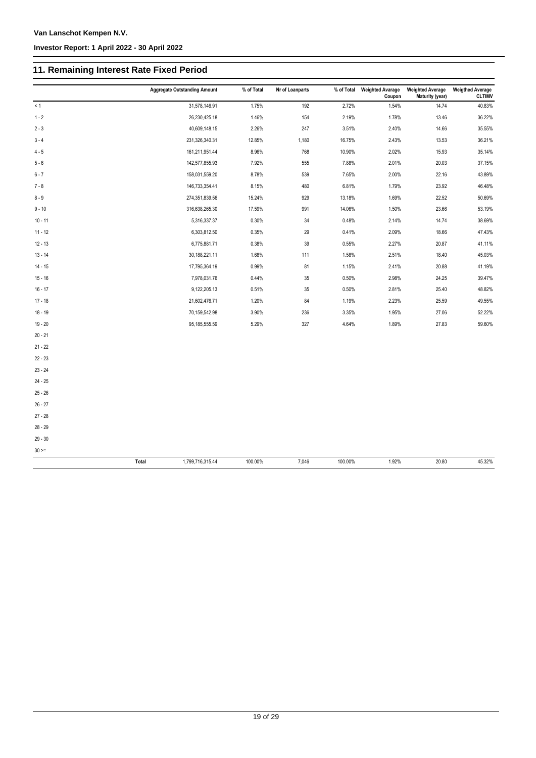### **11. Remaining Interest Rate Fixed Period**

|           | <b>Aggregate Outstanding Amount</b> | % of Total | Nr of Loanparts |         | % of Total Weighted Avarage<br>Coupon | <b>Weighted Average</b><br>Maturity (year) | <b>Weigthed Average</b><br><b>CLTIMV</b> |
|-----------|-------------------------------------|------------|-----------------|---------|---------------------------------------|--------------------------------------------|------------------------------------------|
| < 1       | 31,578,146.91                       | 1.75%      | 192             | 2.72%   | 1.54%                                 | 14.74                                      | 40.83%                                   |
| $1 - 2$   | 26,230,425.18                       | 1.46%      | 154             | 2.19%   | 1.78%                                 | 13.46                                      | 36.22%                                   |
| $2 - 3$   | 40,609,148.15                       | 2.26%      | 247             | 3.51%   | 2.40%                                 | 14.66                                      | 35.55%                                   |
| $3 - 4$   | 231,326,340.31                      | 12.85%     | 1,180           | 16.75%  | 2.43%                                 | 13.53                                      | 36.21%                                   |
| $4 - 5$   | 161,211,951.44                      | 8.96%      | 768             | 10.90%  | 2.02%                                 | 15.93                                      | 35.14%                                   |
| $5 - 6$   | 142,577,855.93                      | 7.92%      | 555             | 7.88%   | 2.01%                                 | 20.03                                      | 37.15%                                   |
| $6 - 7$   | 158,031,559.20                      | 8.78%      | 539             | 7.65%   | 2.00%                                 | 22.16                                      | 43.89%                                   |
| $7 - 8$   | 146,733,354.41                      | 8.15%      | 480             | 6.81%   | 1.79%                                 | 23.92                                      | 46.48%                                   |
| $8 - 9$   | 274,351,839.56                      | 15.24%     | 929             | 13.18%  | 1.69%                                 | 22.52                                      | 50.69%                                   |
| $9 - 10$  | 316,638,265.30                      | 17.59%     | 991             | 14.06%  | 1.50%                                 | 23.66                                      | 53.19%                                   |
| $10 - 11$ | 5,316,337.37                        | 0.30%      | 34              | 0.48%   | 2.14%                                 | 14.74                                      | 38.69%                                   |
| $11 - 12$ | 6,303,812.50                        | 0.35%      | 29              | 0.41%   | 2.09%                                 | 18.66                                      | 47.43%                                   |
| $12 - 13$ | 6,775,881.71                        | 0.38%      | 39              | 0.55%   | 2.27%                                 | 20.87                                      | 41.11%                                   |
| $13 - 14$ | 30,188,221.11                       | 1.68%      | 111             | 1.58%   | 2.51%                                 | 18.40                                      | 45.03%                                   |
| $14 - 15$ | 17,795,364.19                       | 0.99%      | 81              | 1.15%   | 2.41%                                 | 20.88                                      | 41.19%                                   |
| $15 - 16$ | 7,978,031.76                        | 0.44%      | 35              | 0.50%   | 2.98%                                 | 24.25                                      | 39.47%                                   |
| $16 - 17$ | 9,122,205.13                        | 0.51%      | 35              | 0.50%   | 2.81%                                 | 25.40                                      | 48.82%                                   |
| $17 - 18$ | 21,602,476.71                       | 1.20%      | 84              | 1.19%   | 2.23%                                 | 25.59                                      | 49.55%                                   |
| $18 - 19$ | 70,159,542.98                       | 3.90%      | 236             | 3.35%   | 1.95%                                 | 27.06                                      | 52.22%                                   |
| $19 - 20$ | 95, 185, 555.59                     | 5.29%      | 327             | 4.64%   | 1.89%                                 | 27.83                                      | 59.60%                                   |
| $20 - 21$ |                                     |            |                 |         |                                       |                                            |                                          |
| $21 - 22$ |                                     |            |                 |         |                                       |                                            |                                          |
| $22 - 23$ |                                     |            |                 |         |                                       |                                            |                                          |
| $23 - 24$ |                                     |            |                 |         |                                       |                                            |                                          |
| $24 - 25$ |                                     |            |                 |         |                                       |                                            |                                          |
| $25 - 26$ |                                     |            |                 |         |                                       |                                            |                                          |
| $26 - 27$ |                                     |            |                 |         |                                       |                                            |                                          |
| $27 - 28$ |                                     |            |                 |         |                                       |                                            |                                          |
| $28 - 29$ |                                     |            |                 |         |                                       |                                            |                                          |
| $29 - 30$ |                                     |            |                 |         |                                       |                                            |                                          |
| $30 > =$  |                                     |            |                 |         |                                       |                                            |                                          |
|           | 1,799,716,315.44<br>Total           | 100.00%    | 7,046           | 100.00% | 1.92%                                 | 20.80                                      | 45.32%                                   |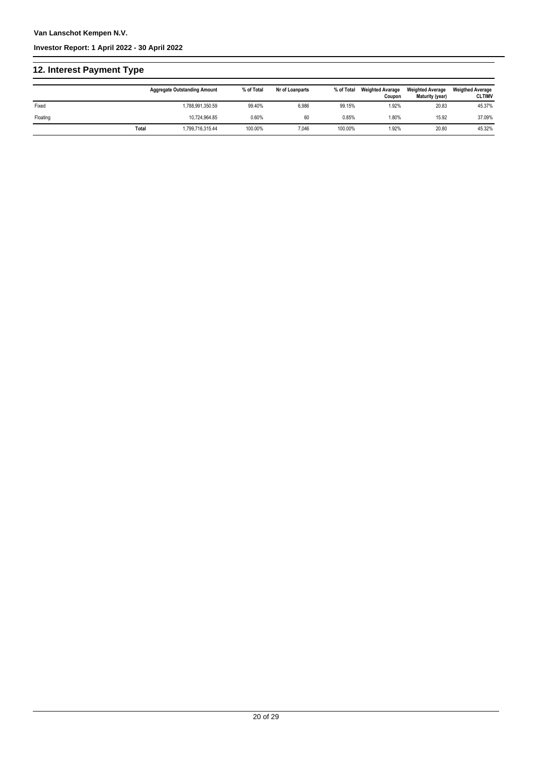### **12. Interest Payment Type**

|          |       | <b>Aggregate Outstanding Amount</b> | % of Total | Nr of Loanparts | % of Total | <b>Weighted Avarage</b><br>Coupon | <b>Weighted Average</b><br>Maturity (year) | <b>Weigthed Average</b><br><b>CLTIMV</b> |
|----------|-------|-------------------------------------|------------|-----------------|------------|-----------------------------------|--------------------------------------------|------------------------------------------|
| Fixed    |       | 1,788,991,350.59                    | 99.40%     | 6,986           | 99.15%     | 1.92%                             | 20.83                                      | 45.37%                                   |
| Floating |       | 10,724,964.85                       | 0.60%      | 60              | 0.85%      | 1.80%                             | 15.92                                      | 37.09%                                   |
|          | Total | 1,799,716,315.44                    | 100.00%    | 7,046           | 100.00%    | 1.92%                             | 20.80                                      | 45.32%                                   |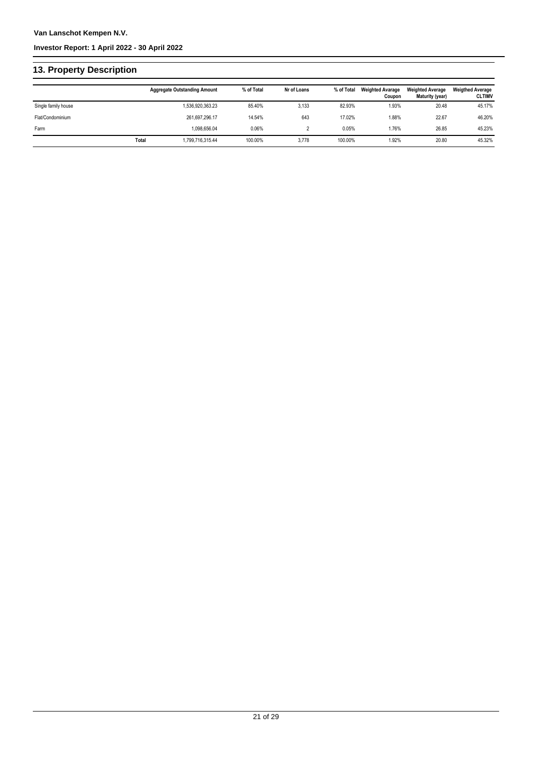#### **Investor Report: 1 April 2022 - 30 April 2022**

### **13. Property Description**

|                     |       | <b>Aggregate Outstanding Amount</b> | % of Total | Nr of Loans | % of Total | <b>Weighted Avarage</b><br>Coupon | <b>Weighted Average</b><br>Maturity (year) | <b>Weigthed Average</b><br><b>CLTIMV</b> |
|---------------------|-------|-------------------------------------|------------|-------------|------------|-----------------------------------|--------------------------------------------|------------------------------------------|
| Single family house |       | 1,536,920,363.23                    | 85.40%     | 3,133       | 82.93%     | 1.93%                             | 20.48                                      | 45.17%                                   |
| Flat/Condominium    |       | 261.697.296.17                      | 14.54%     | 643         | 17.02%     | 1.88%                             | 22.67                                      | 46.20%                                   |
| Farm                |       | 1.098.656.04                        | 0.06%      |             | 0.05%      | 1.76%                             | 26.85                                      | 45.23%                                   |
|                     | Total | 1,799,716,315.44                    | 100.00%    | 3,778       | 100.00%    | 1.92%                             | 20.80                                      | 45.32%                                   |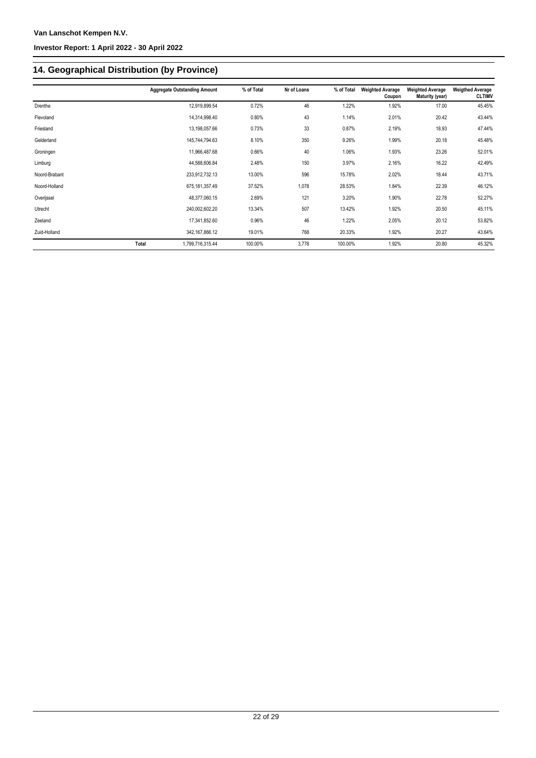## **14. Geographical Distribution (by Province)**

|               |       | <b>Aggregate Outstanding Amount</b> | % of Total | Nr of Loans | % of Total | <b>Weighted Avarage</b><br>Coupon | <b>Weighted Average</b><br>Maturity (year) | <b>Weigthed Average</b><br><b>CLTIMV</b> |
|---------------|-------|-------------------------------------|------------|-------------|------------|-----------------------------------|--------------------------------------------|------------------------------------------|
| Drenthe       |       | 12,919,899.54                       | 0.72%      | 46          | 1.22%      | 1.92%                             | 17.00                                      | 45.45%                                   |
| Flevoland     |       | 14,314,998.40                       | 0.80%      | 43          | 1.14%      | 2.01%                             | 20.42                                      | 43.44%                                   |
| Friesland     |       | 13,198,057.66                       | 0.73%      | 33          | 0.87%      | 2.19%                             | 18.93                                      | 47.44%                                   |
| Gelderland    |       | 145,744,794.63                      | 8.10%      | 350         | 9.26%      | 1.99%                             | 20.18                                      | 45.48%                                   |
| Groningen     |       | 11,966,487.68                       | 0.66%      | 40          | 1.06%      | 1.93%                             | 23.26                                      | 52.01%                                   |
| Limburg       |       | 44,588,606.84                       | 2.48%      | 150         | 3.97%      | 2.16%                             | 16.22                                      | 42.49%                                   |
| Noord-Brabant |       | 233,912,732.13                      | 13.00%     | 596         | 15.78%     | 2.02%                             | 18.44                                      | 43.71%                                   |
| Noord-Holland |       | 675, 181, 357.49                    | 37.52%     | 1,078       | 28.53%     | 1.84%                             | 22.39                                      | 46.12%                                   |
| Overijssel    |       | 48,377,060.15                       | 2.69%      | 121         | 3.20%      | 1.90%                             | 22.78                                      | 52.27%                                   |
| Utrecht       |       | 240,002,602.20                      | 13.34%     | 507         | 13.42%     | 1.92%                             | 20.50                                      | 45.11%                                   |
| Zeeland       |       | 17,341,852.60                       | 0.96%      | 46          | 1.22%      | 2.05%                             | 20.12                                      | 53.82%                                   |
| Zuid-Holland  |       | 342, 167, 866. 12                   | 19.01%     | 768         | 20.33%     | 1.92%                             | 20.27                                      | 43.64%                                   |
|               | Total | 1,799,716,315.44                    | 100.00%    | 3,778       | 100.00%    | 1.92%                             | 20.80                                      | 45.32%                                   |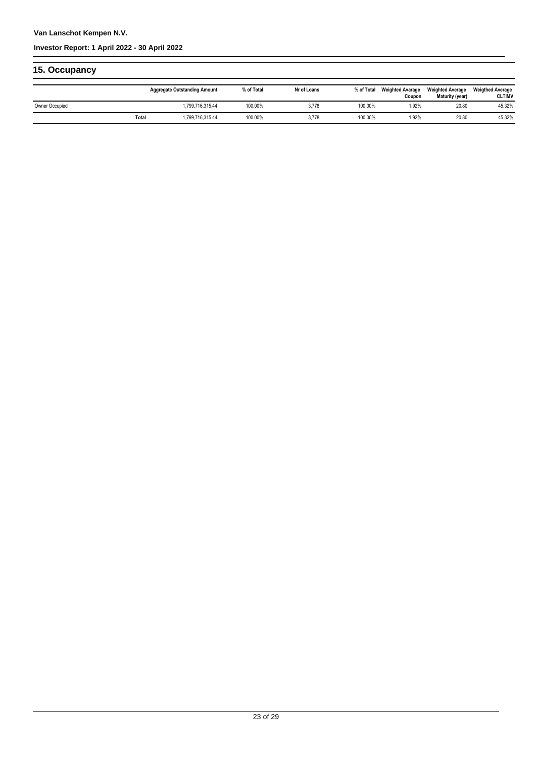#### **Investor Report: 1 April 2022 - 30 April 2022**

### **15. Occupancy**

|                |       | <b>Aggregate Outstanding Amount</b> | % of Total | Nr of Loans | % of Total | <b>Weighted Avarage</b><br>Coupon | <b>Weighted Average</b><br>Maturity (year) | <b>Weigthed Average</b><br><b>CLTIMV</b> |
|----------------|-------|-------------------------------------|------------|-------------|------------|-----------------------------------|--------------------------------------------|------------------------------------------|
| Owner Occupied |       | 1.799.716.315.44                    | 100.00%    | 3.778       | 100.00%    | 1.92%                             | 20.80                                      | 45.32%                                   |
|                | Total | .799.716.315.44                     | 100.00%    | 3,778       | 100.00%    | 1.92%                             | 20.80                                      | 45.32%                                   |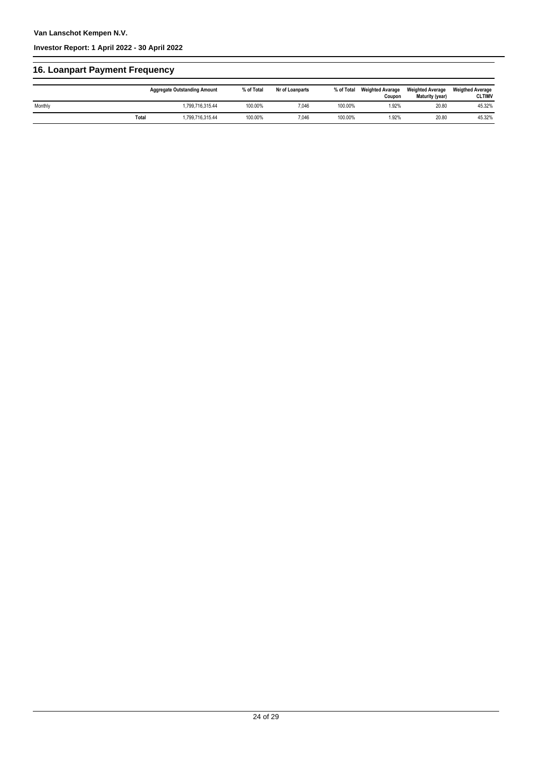### **16. Loanpart Payment Frequency**

|         |       | <b>Aggregate Outstanding Amount</b> | % of Total | Nr of Loanparts | % of Total | <b>Weighted Avarage</b><br>Coupon | <b>Weighted Average</b><br>Maturity (year) | <b>Weigthed Average</b><br><b>CLTIMV</b> |
|---------|-------|-------------------------------------|------------|-----------------|------------|-----------------------------------|--------------------------------------------|------------------------------------------|
| Monthly |       | 1,799,716,315.44                    | 100.00%    | 7,046           | 100.00%    | 1.92%                             | 20.80                                      | 45.32%                                   |
|         | Total | 1.799.716.315.44                    | 100.00%    | 7,046           | 100.00%    | 1.92%                             | 20.80                                      | 45.32%                                   |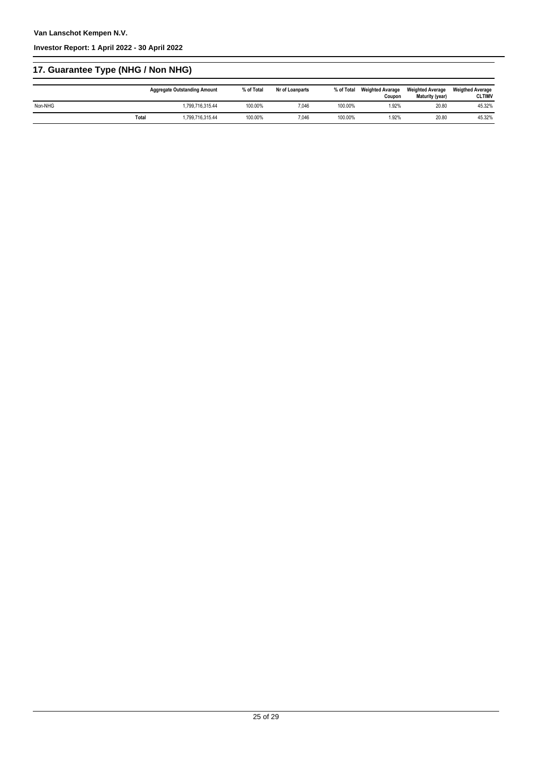## **17. Guarantee Type (NHG / Non NHG)**

|         |       | <b>Aggregate Outstanding Amount</b> | % of Total | Nr of Loanparts | % of Total | <b>Weighted Avarage</b><br>Coupon | <b>Weighted Average</b><br>Maturity (year) | <b>Weigthed Average</b><br><b>CLTIMV</b> |
|---------|-------|-------------------------------------|------------|-----------------|------------|-----------------------------------|--------------------------------------------|------------------------------------------|
| Non-NHG |       | 1.799.716.315.44                    | 100.00%    | 7.046           | 100.00%    | 1.92%                             | 20.80                                      | 45.32%                                   |
|         | Total | 1.799.716.315.44                    | 100.00%    | 7.046           | 100.00%    | 1.92%                             | 20.80                                      | 45.32%                                   |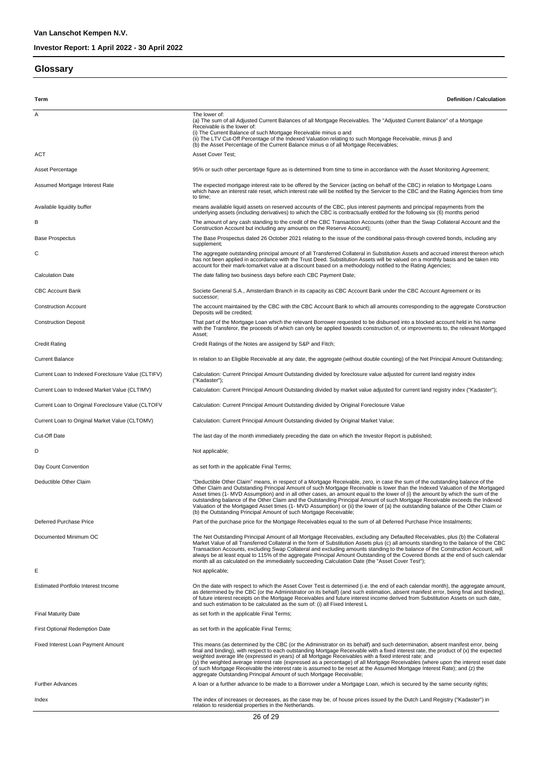#### **Glossary**

**Term Definition / Calculation** A The lower of: (a) The sum of all Adjusted Current Balances of all Mortgage Receivables. The "Adjusted Current Balance" of a Mortgage Receivable is the lower of: (i) The Current Balance of such Mortgage Receivable minus α and<br>(ii) The LTV Cut-Off Percentage of the Indexed Valuation relating to such Mortgage Receivable, minus β and<br>(b) the Asset Percentage of the Current Balance mi ACT ACT Asset Cover Test: Asset Percentage entity and the state of the Percentage figure as is determined from time to time in accordance with the Asset Monitoring Agreement; Assumed Mortgage Interest Rate The Expected mortgage interest rate to be offered by the Servicer (acting on behalf of the CBC) in relation to Mortgage Loans which have an interest rate reset, which interest rate will be notified by the Servicer to the CBC and the Rating Agencies from time to time; means available liquid assets on reserved accounts of the CBC, plus interest payments and principal repayments from the<br>underlying assets (including derivatives) to which the CBC is contractually entitled for the following B The amount of any cash standing to the credit of the CBC Transaction Accounts (other than the Swap Collateral Account and the Construction Account but including any amounts on the Reserve Account); Base Prospectus The Base Prospectus dated 26 October 2021 relating to the issue of the conditional pass-through covered bonds, including any supplement; The aggregate outstanding principal amount of all Transferred Collateral in Substitution Assets and accrued interest thereon which<br>has not been applied in accordance with the Trust Deed. Substitution Assets will be valued account for their mark-tomarket value at a discount based on a methodology notified to the Rating Agencies; Calculation Date The date falling two business days before each CBC Payment Date; CBC Account Bank Societe General S.A., Amsterdam Branch in its capacity as CBC Account Bank under the CBC Account Agreement or its successor; Construction Account maintained by the CBC with the CBC Account Bank to which all amounts corresponding to the aggregate Construction Deposits will be credited; Construction Deposit That part of the Mortgage Loan which the relevant Borrower requested to be disbursed into a blocked account held in his name with the Transferor, the proceeds of which can only be applied towards construction of, or improvements to, the relevant Mortgaged Asset; Credit Rating Credit Ratings of the Notes are assigend by S&P and Fitch; Current Balance In relation to an Eligible Receivable at any date, the aggregate (without double counting) of the Net Principal Amount Outstanding; Current Loan to Indexed Foreclosure Value (CLTIFV) Calculation: Current Principal Amount Outstanding divided by foreclosure value adjusted for current land registry index ("Kadaster"); Current Loan to Indexed Market Value (CLTIMV) Calculation: Current Principal Amount Outstanding divided by market value adjusted for current land registry index ("Kadaster"); Current Loan to Original Foreclosure Value (CLTOFV Calculation: Current Principal Amount Outstanding divided by Original Foreclosure Value Current Loan to Original Market Value (CLTOMV) Calculation: Current Principal Amount Outstanding divided by Original Market Value; Cut-Off Date The last day of the month immediately preceding the date on which the Investor Report is published; D Not applicable; Day Count Convention **by Count Convention** as set forth in the applicable Final Terms; "Deductible Other Claim" means, in respect of a Mortgage Receivable, zero, in case the sum of the outstanding balance of the<br>Other Claim and Outstanding Principal Amount of such Mortgage Receivable is lower than the Indexe Asset times (1- MVD Assumption) and in all other cases, an amount equal to the lower of (i) the amount by which the sum of the<br>outstanding balance of the Other Claim and the Outstanding Principal Amount of such Mortgage Re Valuation of the Mortgaged Asset times (1- MVD Assumption) or (ii) the lower of (a) the outstanding balance of the Other Claim or (b) the Outstanding Principal Amount of such Mortgage Receivable; Deferred Purchase Price Price Price Price Part of the purchase price for the Mortgage Receivables equal to the sum of all Deferred Purchase Price Instalments; Documented Minimum OC<br>Market Value of all Transferred Collateral in the form of Substitution Assets plus (c) all amounts standing to the balance of the CBC<br>Market Value of all Transferred Collateral in the form of Substitu E Estimated Portfolio Interest Income **On the Cate with respect to which the Asset Cover Test** is determined (i.e. the end of each calendar month), the aggregate amount, as determined by the CBC (or the Administrator on its behalf) (and such estimation, absent manifest error, being final and binding), of future interest receipts on the Mortgage Receivables and future interest income derived from Substitution Assets on such date,<br>and such estimation to be calculated as the sum of: (i) all Fixed Interest L Final Maturity Date and the applicable Final Terms; as set forth in the applicable Final Terms; First Optional Redemption Date as set forth in the applicable Final Terms; Fixed Interest Loan Payment Amount This means (as determined by the CBC (or the Administrator on its behalf) and such determination, absent manifest error, being final and binding), with respect to each outstanding Mortgage Receivable with a fixed interest rate, the product of (x) the expected<br>weighted average life (expressed in years) of all Mortgage Receivables with a fixed inter of such Mortgage Receivable the interest rate is assumed to be reset at the Assumed Mortgage Interest Rate); and (z) the aggregate Outstanding Principal Amount of such Mortgage Receivable; Further Advances **A** loan or a further advance to be made to a Borrower under a Mortgage Loan, which is secured by the same security rights; Index the index of increases or decreases, as the case may be, of house prices issued by the Dutch Land Registry ("Kadaster") in relation to residential properties in the Netherlands.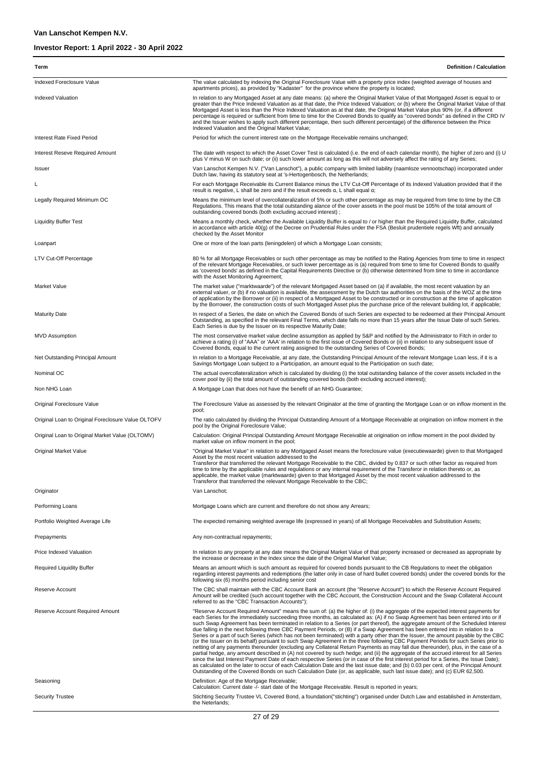| Term                                               | <b>Definition / Calculation</b>                                                                                                                                                                                                                                                                                                                                                                                                                                                                                                                                                                                                                                                                                                                                                                                                                                                                                                                                                                                                                                                                                                                                                                                                                                                                                                                                                                                                                                                                             |
|----------------------------------------------------|-------------------------------------------------------------------------------------------------------------------------------------------------------------------------------------------------------------------------------------------------------------------------------------------------------------------------------------------------------------------------------------------------------------------------------------------------------------------------------------------------------------------------------------------------------------------------------------------------------------------------------------------------------------------------------------------------------------------------------------------------------------------------------------------------------------------------------------------------------------------------------------------------------------------------------------------------------------------------------------------------------------------------------------------------------------------------------------------------------------------------------------------------------------------------------------------------------------------------------------------------------------------------------------------------------------------------------------------------------------------------------------------------------------------------------------------------------------------------------------------------------------|
| Indexed Foreclosure Value                          | The value calculated by indexing the Original Foreclosure Value with a property price index (weighted average of houses and<br>apartments prices), as provided by "Kadaster" for the province where the property is located;                                                                                                                                                                                                                                                                                                                                                                                                                                                                                                                                                                                                                                                                                                                                                                                                                                                                                                                                                                                                                                                                                                                                                                                                                                                                                |
| <b>Indexed Valuation</b>                           | In relation to any Mortgaged Asset at any date means: (a) where the Original Market Value of that Mortgaged Asset is equal to or<br>greater than the Price Indexed Valuation as at that date, the Price Indexed Valuation; or (b) where the Original Market Value of that<br>Mortgaged Asset is less than the Price Indexed Valuation as at that date, the Original Market Value plus 90% (or, if a different<br>percentage is required or sufficient from time to time for the Covered Bonds to qualify as "covered bonds" as defined in the CRD IV<br>and the Issuer wishes to apply such different percentage, then such different percentage) of the difference between the Price                                                                                                                                                                                                                                                                                                                                                                                                                                                                                                                                                                                                                                                                                                                                                                                                                       |
| Interest Rate Fixed Period                         | Indexed Valuation and the Original Market Value;<br>Period for which the current interest rate on the Mortgage Receivable remains unchanged;                                                                                                                                                                                                                                                                                                                                                                                                                                                                                                                                                                                                                                                                                                                                                                                                                                                                                                                                                                                                                                                                                                                                                                                                                                                                                                                                                                |
| Interest Reseve Required Amount                    | The date with respect to which the Asset Cover Test is calculated (i.e. the end of each calendar month), the higher of zero and (i) U<br>plus V minus W on such date; or (ii) such lower amount as long as this will not adversely affect the rating of any Series;                                                                                                                                                                                                                                                                                                                                                                                                                                                                                                                                                                                                                                                                                                                                                                                                                                                                                                                                                                                                                                                                                                                                                                                                                                         |
| Issuer                                             | Van Lanschot Kempen N.V. ("Van Lanschot"), a public company with limited liability (naamloze vennootschap) incorporated under<br>Dutch law, having its statutory seat at 's-Hertogenbosch, the Netherlands;                                                                                                                                                                                                                                                                                                                                                                                                                                                                                                                                                                                                                                                                                                                                                                                                                                                                                                                                                                                                                                                                                                                                                                                                                                                                                                 |
| L                                                  | For each Mortgage Receivable its Current Balance minus the LTV Cut-Off Percentage of its Indexed Valuation provided that if the<br>result is negative, L shall be zero and if the result exceeds $\alpha$ , L shall equal $\alpha$ ;                                                                                                                                                                                                                                                                                                                                                                                                                                                                                                                                                                                                                                                                                                                                                                                                                                                                                                                                                                                                                                                                                                                                                                                                                                                                        |
| Legally Required Minimum OC                        | Means the minimum level of overcollateralization of 5% or such other percentage as may be required from time to time by the CB<br>Regulations. This means that the total outstanding alance of the cover assets in the pool must be 105% of the total amount of<br>outstanding covered bonds (both excluding accrued interest);                                                                                                                                                                                                                                                                                                                                                                                                                                                                                                                                                                                                                                                                                                                                                                                                                                                                                                                                                                                                                                                                                                                                                                             |
| <b>Liquidity Buffer Test</b>                       | Means a monthly check, whether the Available Liquidity Buffer is equal to / or higher than the Required Liquidity Buffer, calculated<br>in accordance with article 40(g) of the Decree on Prudential Rules under the FSA (Besluit prudentiele regels Wft) and annually<br>checked by the Asset Monitor                                                                                                                                                                                                                                                                                                                                                                                                                                                                                                                                                                                                                                                                                                                                                                                                                                                                                                                                                                                                                                                                                                                                                                                                      |
| Loanpart                                           | One or more of the loan parts (leningdelen) of which a Mortgage Loan consists;                                                                                                                                                                                                                                                                                                                                                                                                                                                                                                                                                                                                                                                                                                                                                                                                                                                                                                                                                                                                                                                                                                                                                                                                                                                                                                                                                                                                                              |
| LTV Cut-Off Percentage                             | 80 % for all Mortgage Receivables or such other percentage as may be notified to the Rating Agencies from time to time in respect<br>of the relevant Mortgage Receivables, or such lower percentage as is (a) required from time to time for Covered Bonds to qualify<br>as 'covered bonds' as defined in the Capital Requirements Directive or (b) otherwise determined from time to time in accordance<br>with the Asset Monitoring Agreement;                                                                                                                                                                                                                                                                                                                                                                                                                                                                                                                                                                                                                                                                                                                                                                                                                                                                                                                                                                                                                                                            |
| <b>Market Value</b>                                | The market value ("marktwaarde") of the relevant Mortgaged Asset based on (a) if available, the most recent valuation by an<br>external valuer, or (b) if no valuation is available, the assessment by the Dutch tax authorities on the basis of the WOZ at the time<br>of application by the Borrower or (ii) in respect of a Mortgaged Asset to be constructed or in construction at the time of application<br>by the Borrower, the construction costs of such Mortgaged Asset plus the purchase price of the relevant building lot, if applicable;                                                                                                                                                                                                                                                                                                                                                                                                                                                                                                                                                                                                                                                                                                                                                                                                                                                                                                                                                      |
| <b>Maturity Date</b>                               | In respect of a Series, the date on which the Covered Bonds of such Series are expected to be redeemed at their Principal Amount<br>Outstanding, as specified in the relevant Final Terms, which date falls no more than 15 years after the Issue Date of such Series.<br>Each Series is due by the Issuer on its respective Maturity Date;                                                                                                                                                                                                                                                                                                                                                                                                                                                                                                                                                                                                                                                                                                                                                                                                                                                                                                                                                                                                                                                                                                                                                                 |
| <b>MVD Assumption</b>                              | The most conservative market value decline assumption as applied by S&P and notified by the Administrator to Fitch in order to<br>achieve a rating (i) of "AAA" or 'AAA' in relation to the first issue of Covered Bonds or (ii) in relation to any subsequent issue of<br>Covered Bonds, equal to the current rating assigned to the outstanding Series of Covered Bonds;                                                                                                                                                                                                                                                                                                                                                                                                                                                                                                                                                                                                                                                                                                                                                                                                                                                                                                                                                                                                                                                                                                                                  |
| Net Outstanding Principal Amount                   | In relation to a Mortgage Receivable, at any date, the Outstanding Principal Amount of the relevant Mortgage Loan less, if it is a<br>Savings Mortgage Loan subject to a Participation, an amount equal to the Participation on such date;                                                                                                                                                                                                                                                                                                                                                                                                                                                                                                                                                                                                                                                                                                                                                                                                                                                                                                                                                                                                                                                                                                                                                                                                                                                                  |
| Nominal OC                                         | The actual overcollateralization which is calculated by dividing (i) the total outstanding balance of the cover assets included in the<br>cover pool by (ii) the total amount of outstanding covered bonds (both excluding accrued interest);                                                                                                                                                                                                                                                                                                                                                                                                                                                                                                                                                                                                                                                                                                                                                                                                                                                                                                                                                                                                                                                                                                                                                                                                                                                               |
| Non NHG Loan                                       | A Mortgage Loan that does not have the benefit of an NHG Guarantee;                                                                                                                                                                                                                                                                                                                                                                                                                                                                                                                                                                                                                                                                                                                                                                                                                                                                                                                                                                                                                                                                                                                                                                                                                                                                                                                                                                                                                                         |
| Original Foreclosure Value                         | The Foreclosure Value as assessed by the relevant Originator at the time of granting the Mortgage Loan or on inflow moment in the<br>pool;                                                                                                                                                                                                                                                                                                                                                                                                                                                                                                                                                                                                                                                                                                                                                                                                                                                                                                                                                                                                                                                                                                                                                                                                                                                                                                                                                                  |
| Original Loan to Original Foreclosure Value OLTOFV | The ratio calculated by dividing the Principal Outstanding Amount of a Mortgage Receivable at origination on inflow moment in the<br>pool by the Original Foreclosure Value;                                                                                                                                                                                                                                                                                                                                                                                                                                                                                                                                                                                                                                                                                                                                                                                                                                                                                                                                                                                                                                                                                                                                                                                                                                                                                                                                |
| Original Loan to Original Market Value (OLTOMV)    | Calculation: Original Principal Outstanding Amount Mortgage Receivable at origination on inflow moment in the pool divided by<br>market value on inflow moment in the pool;                                                                                                                                                                                                                                                                                                                                                                                                                                                                                                                                                                                                                                                                                                                                                                                                                                                                                                                                                                                                                                                                                                                                                                                                                                                                                                                                 |
| Original Market Value                              | "Original Market Value" in relation to any Mortgaged Asset means the foreclosure value (executiewaarde) given to that Mortgaged<br>Asset by the most recent valuation addressed to the<br>Transferor that transferred the relevant Mortgage Receivable to the CBC, divided by 0.837 or such other factor as required from<br>time to time by the applicable rules and regulations or any internal requirement of the Transferor in relation thereto or, as<br>applicable, the market value (marktwaarde) given to that Mortgaged Asset by the most recent valuation addressed to the<br>Transferor that transferred the relevant Mortgage Receivable to the CBC;                                                                                                                                                                                                                                                                                                                                                                                                                                                                                                                                                                                                                                                                                                                                                                                                                                            |
| Originator                                         | Van Lanschot:                                                                                                                                                                                                                                                                                                                                                                                                                                                                                                                                                                                                                                                                                                                                                                                                                                                                                                                                                                                                                                                                                                                                                                                                                                                                                                                                                                                                                                                                                               |
| Performing Loans                                   | Mortgage Loans which are current and therefore do not show any Arrears;                                                                                                                                                                                                                                                                                                                                                                                                                                                                                                                                                                                                                                                                                                                                                                                                                                                                                                                                                                                                                                                                                                                                                                                                                                                                                                                                                                                                                                     |
| Portfolio Weighted Average Life                    | The expected remaining weighted average life (expressed in years) of all Mortgage Receivables and Substitution Assets;                                                                                                                                                                                                                                                                                                                                                                                                                                                                                                                                                                                                                                                                                                                                                                                                                                                                                                                                                                                                                                                                                                                                                                                                                                                                                                                                                                                      |
| Prepayments                                        | Any non-contractual repayments;                                                                                                                                                                                                                                                                                                                                                                                                                                                                                                                                                                                                                                                                                                                                                                                                                                                                                                                                                                                                                                                                                                                                                                                                                                                                                                                                                                                                                                                                             |
| Price Indexed Valuation                            | In relation to any property at any date means the Original Market Value of that property increased or decreased as appropriate by<br>the increase or decrease in the Index since the date of the Original Market Value;                                                                                                                                                                                                                                                                                                                                                                                                                                                                                                                                                                                                                                                                                                                                                                                                                                                                                                                                                                                                                                                                                                                                                                                                                                                                                     |
| <b>Required Liquidity Buffer</b>                   | Means an amount which is such amount as required for covered bonds pursuant to the CB Regulations to meet the obligation<br>regarding interest payments and redemptions (the latter only in case of hard bullet covered bonds) under the covered bonds for the<br>following six (6) months period including senior cost                                                                                                                                                                                                                                                                                                                                                                                                                                                                                                                                                                                                                                                                                                                                                                                                                                                                                                                                                                                                                                                                                                                                                                                     |
| Reserve Account                                    | The CBC shall maintain with the CBC Account Bank an account (the "Reserve Account") to which the Reserve Account Required<br>Amount will be credited (such account together with the CBC Account, the Construction Account and the Swap Collateral Account<br>referred to as the "CBC Transaction Accounts");                                                                                                                                                                                                                                                                                                                                                                                                                                                                                                                                                                                                                                                                                                                                                                                                                                                                                                                                                                                                                                                                                                                                                                                               |
| Reserve Account Required Amount                    | "Reserve Account Required Amount" means the sum of: (a) the higher of: (i) the aggregate of the expected interest payments for<br>each Series for the immediately succeeding three months, as calculated as: (A) if no Swap Agreement has been entered into or if<br>such Swap Agreement has been terminated in relation to a Series (or part thereof), the aggregate amount of the Scheduled Interest<br>due falling in the next following three CBC Payment Periods, or (B) if a Swap Agreement has been entered into in relation to a<br>Series or a part of such Series (which has not been terminated) with a party other than the Issuer, the amount payable by the CBC<br>(or the Issuer on its behalf) pursuant to such Swap Agreement in the three following CBC Payment Periods for such Series prior to<br>netting of any payments thereunder (excluding any Collateral Return Payments as may fall due thereunder), plus, in the case of a<br>partial hedge, any amount described in (A) not covered by such hedge; and (ii) the aggregate of the accrued interest for all Series<br>since the last Interest Payment Date of each respective Series (or in case of the first interest period for a Series, the Issue Date);<br>as calculated on the later to occur of each Calculation Date and the last issue date; and (b) 0.03 per cent. of the Principal Amount<br>Outstanding of the Covered Bonds on such Calculation Date (or, as applicable, such last issue date); and (c) EUR 62,500. |
| Seasoning                                          | Definition: Age of the Mortgage Receivable;<br>Calculation: Current date -/- start date of the Mortgage Receivable. Result is reported in years;                                                                                                                                                                                                                                                                                                                                                                                                                                                                                                                                                                                                                                                                                                                                                                                                                                                                                                                                                                                                                                                                                                                                                                                                                                                                                                                                                            |
| <b>Security Trustee</b>                            | Stichting Security Trustee VL Covered Bond, a foundation ("stichting") organised under Dutch Law and established in Amsterdam,<br>the Neterlands;                                                                                                                                                                                                                                                                                                                                                                                                                                                                                                                                                                                                                                                                                                                                                                                                                                                                                                                                                                                                                                                                                                                                                                                                                                                                                                                                                           |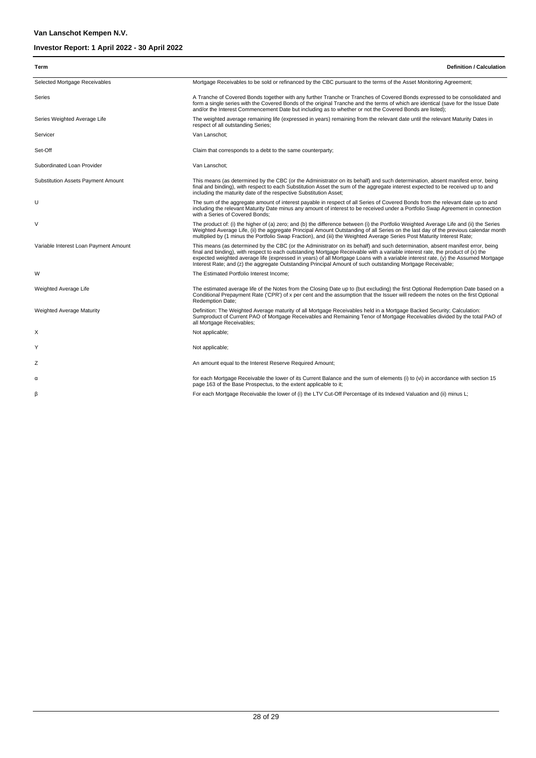| Term                                      | <b>Definition / Calculation</b>                                                                                                                                                                                                                                                                                                                                                                                                                                                                                     |
|-------------------------------------------|---------------------------------------------------------------------------------------------------------------------------------------------------------------------------------------------------------------------------------------------------------------------------------------------------------------------------------------------------------------------------------------------------------------------------------------------------------------------------------------------------------------------|
| Selected Mortgage Receivables             | Mortgage Receivables to be sold or refinanced by the CBC pursuant to the terms of the Asset Monitoring Agreement;                                                                                                                                                                                                                                                                                                                                                                                                   |
| Series                                    | A Tranche of Covered Bonds together with any further Tranche or Tranches of Covered Bonds expressed to be consolidated and<br>form a single series with the Covered Bonds of the original Tranche and the terms of which are identical (save for the Issue Date<br>and/or the Interest Commencement Date but including as to whether or not the Covered Bonds are listed);                                                                                                                                          |
| Series Weighted Average Life              | The weighted average remaining life (expressed in years) remaining from the relevant date until the relevant Maturity Dates in<br>respect of all outstanding Series;                                                                                                                                                                                                                                                                                                                                                |
| Servicer                                  | Van Lanschot:                                                                                                                                                                                                                                                                                                                                                                                                                                                                                                       |
| Set-Off                                   | Claim that corresponds to a debt to the same counterparty;                                                                                                                                                                                                                                                                                                                                                                                                                                                          |
| Subordinated Loan Provider                | Van Lanschot;                                                                                                                                                                                                                                                                                                                                                                                                                                                                                                       |
| <b>Substitution Assets Payment Amount</b> | This means (as determined by the CBC (or the Administrator on its behalf) and such determination, absent manifest error, being<br>final and binding), with respect to each Substitution Asset the sum of the aggregate interest expected to be received up to and<br>including the maturity date of the respective Substitution Asset;                                                                                                                                                                              |
| U                                         | The sum of the aggregate amount of interest payable in respect of all Series of Covered Bonds from the relevant date up to and<br>including the relevant Maturity Date minus any amount of interest to be received under a Portfolio Swap Agreement in connection<br>with a Series of Covered Bonds;                                                                                                                                                                                                                |
| V                                         | The product of: (i) the higher of (a) zero; and (b) the difference between (i) the Portfolio Weighted Average Life and (ii) the Series<br>Weighted Average Life, (ii) the aggregate Principal Amount Outstanding of all Series on the last day of the previous calendar month<br>multiplied by (1 minus the Portfolio Swap Fraction), and (iii) the Weighted Average Series Post Maturity Interest Rate;                                                                                                            |
| Variable Interest Loan Payment Amount     | This means (as determined by the CBC (or the Administrator on its behalf) and such determination, absent manifest error, being<br>final and binding), with respect to each outstanding Mortgage Receivable with a variable interest rate, the product of (x) the<br>expected weighted average life (expressed in years) of all Mortgage Loans with a variable interest rate, (y) the Assumed Mortgage<br>Interest Rate; and (z) the aggregate Outstanding Principal Amount of such outstanding Mortgage Receivable; |
| W                                         | The Estimated Portfolio Interest Income;                                                                                                                                                                                                                                                                                                                                                                                                                                                                            |
| Weighted Average Life                     | The estimated average life of the Notes from the Closing Date up to (but excluding) the first Optional Redemption Date based on a<br>Conditional Prepayment Rate ('CPR') of x per cent and the assumption that the Issuer will redeem the notes on the first Optional<br>Redemption Date;                                                                                                                                                                                                                           |
| Weighted Average Maturity                 | Definition: The Weighted Average maturity of all Mortgage Receivables held in a Mortgage Backed Security; Calculation:<br>Sumproduct of Current PAO of Mortgage Receivables and Remaining Tenor of Mortgage Receivables divided by the total PAO of<br>all Mortgage Receivables;                                                                                                                                                                                                                                    |
| X                                         | Not applicable;                                                                                                                                                                                                                                                                                                                                                                                                                                                                                                     |
| Y                                         | Not applicable;                                                                                                                                                                                                                                                                                                                                                                                                                                                                                                     |
| Ζ                                         | An amount equal to the Interest Reserve Required Amount;                                                                                                                                                                                                                                                                                                                                                                                                                                                            |
| α                                         | for each Mortgage Receivable the lower of its Current Balance and the sum of elements (i) to (vi) in accordance with section 15<br>page 163 of the Base Prospectus, to the extent applicable to it;                                                                                                                                                                                                                                                                                                                 |
| ß                                         | For each Mortgage Receivable the lower of (i) the LTV Cut-Off Percentage of its Indexed Valuation and (ii) minus L;                                                                                                                                                                                                                                                                                                                                                                                                 |